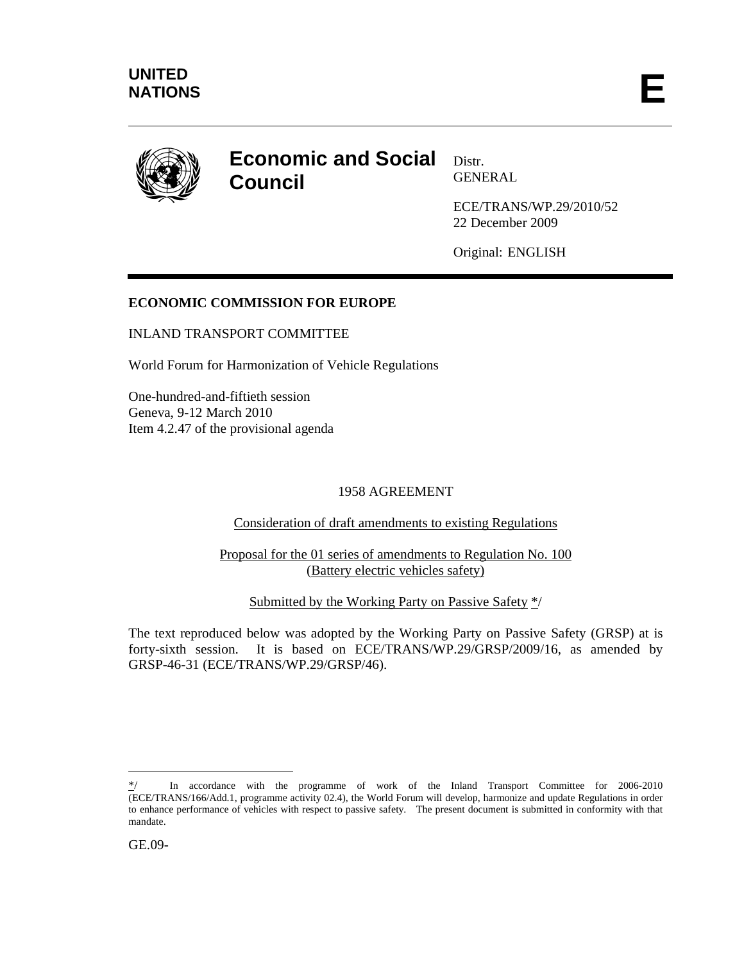

# **Economic and Social Council**

Distr. GENERAL

ECE/TRANS/WP.29/2010/52 22 December 2009

Original: ENGLISH

# **ECONOMIC COMMISSION FOR EUROPE**

# INLAND TRANSPORT COMMITTEE

World Forum for Harmonization of Vehicle Regulations

One-hundred-and-fiftieth session Geneva, 9-12 March 2010 Item 4.2.47 of the provisional agenda

# 1958 AGREEMENT

Consideration of draft amendments to existing Regulations

Proposal for the 01 series of amendments to Regulation No. 100 (Battery electric vehicles safety)

Submitted by the Working Party on Passive Safety \*/

The text reproduced below was adopted by the Working Party on Passive Safety (GRSP) at is forty-sixth session. It is based on ECE/TRANS/WP.29/GRSP/2009/16, as amended by GRSP-46-31 (ECE/TRANS/WP.29/GRSP/46).

 $\overline{a}$ 

In accordance with the programme of work of the Inland Transport Committee for 2006-2010 (ECE/TRANS/166/Add.1, programme activity 02.4), the World Forum will develop, harmonize and update Regulations in order to enhance performance of vehicles with respect to passive safety. The present document is submitted in conformity with that mandate.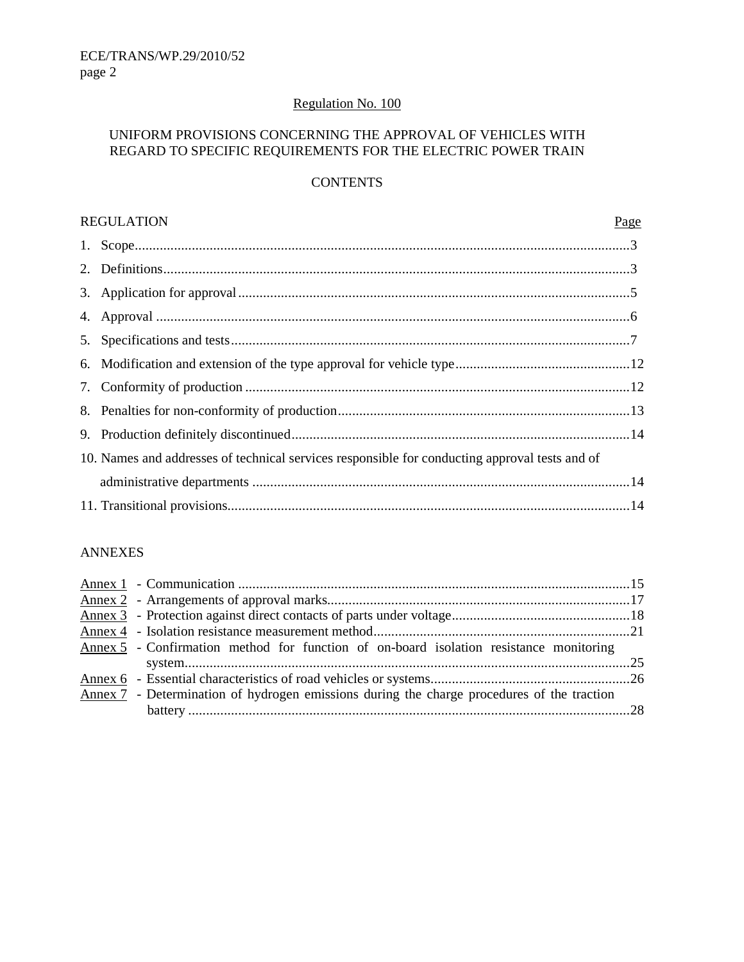# Regulation No. 100

# UNIFORM PROVISIONS CONCERNING THE APPROVAL OF VEHICLES WITH REGARD TO SPECIFIC REQUIREMENTS FOR THE ELECTRIC POWER TRAIN

# **CONTENTS**

| <b>REGULATION</b><br>Page                                                                      |  |  |
|------------------------------------------------------------------------------------------------|--|--|
|                                                                                                |  |  |
|                                                                                                |  |  |
|                                                                                                |  |  |
|                                                                                                |  |  |
|                                                                                                |  |  |
|                                                                                                |  |  |
|                                                                                                |  |  |
|                                                                                                |  |  |
|                                                                                                |  |  |
| 10. Names and addresses of technical services responsible for conducting approval tests and of |  |  |
|                                                                                                |  |  |
|                                                                                                |  |  |

#### ANNEXES

| Annex 5 - Confirmation method for function of on-board isolation resistance monitoring     |  |
|--------------------------------------------------------------------------------------------|--|
|                                                                                            |  |
|                                                                                            |  |
| Annex 7 - Determination of hydrogen emissions during the charge procedures of the traction |  |
|                                                                                            |  |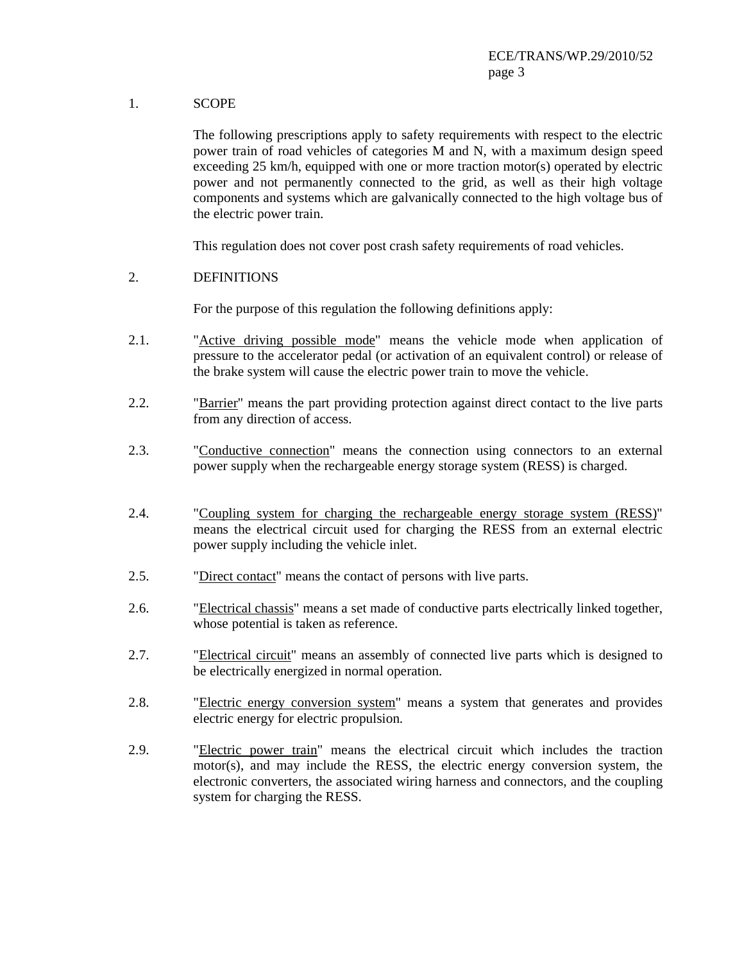# 1. SCOPE

 The following prescriptions apply to safety requirements with respect to the electric power train of road vehicles of categories M and N, with a maximum design speed exceeding 25 km/h, equipped with one or more traction motor(s) operated by electric power and not permanently connected to the grid, as well as their high voltage components and systems which are galvanically connected to the high voltage bus of the electric power train.

This regulation does not cover post crash safety requirements of road vehicles.

#### 2. DEFINITIONS

For the purpose of this regulation the following definitions apply:

- 2.1. "Active driving possible mode" means the vehicle mode when application of pressure to the accelerator pedal (or activation of an equivalent control) or release of the brake system will cause the electric power train to move the vehicle.
- 2.2. "Barrier" means the part providing protection against direct contact to the live parts from any direction of access.
- 2.3. "Conductive connection" means the connection using connectors to an external power supply when the rechargeable energy storage system (RESS) is charged.
- 2.4. "Coupling system for charging the rechargeable energy storage system (RESS)" means the electrical circuit used for charging the RESS from an external electric power supply including the vehicle inlet.
- 2.5. "Direct contact" means the contact of persons with live parts.
- 2.6. "Electrical chassis" means a set made of conductive parts electrically linked together, whose potential is taken as reference.
- 2.7. "Electrical circuit" means an assembly of connected live parts which is designed to be electrically energized in normal operation.
- 2.8. "Electric energy conversion system" means a system that generates and provides electric energy for electric propulsion.
- 2.9. "Electric power train" means the electrical circuit which includes the traction motor(s), and may include the RESS, the electric energy conversion system, the electronic converters, the associated wiring harness and connectors, and the coupling system for charging the RESS.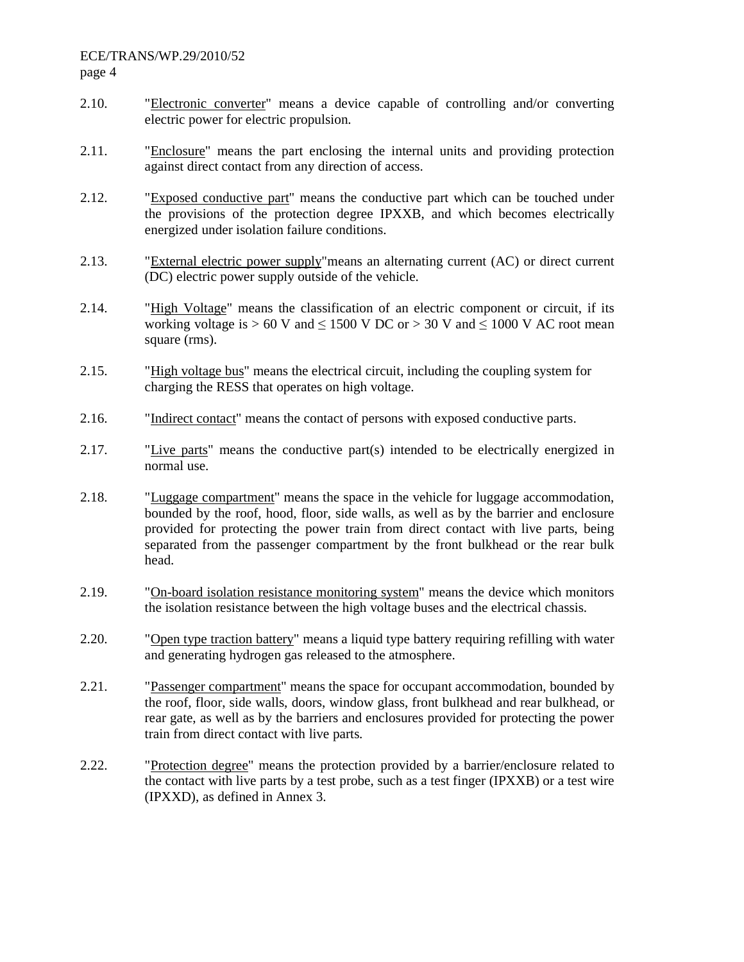- 2.10. "Electronic converter" means a device capable of controlling and/or converting electric power for electric propulsion.
- 2.11. "Enclosure" means the part enclosing the internal units and providing protection against direct contact from any direction of access.
- 2.12. "Exposed conductive part" means the conductive part which can be touched under the provisions of the protection degree IPXXB, and which becomes electrically energized under isolation failure conditions.
- 2.13. "External electric power supply"means an alternating current (AC) or direct current (DC) electric power supply outside of the vehicle.
- 2.14. "High Voltage" means the classification of an electric component or circuit, if its working voltage is  $> 60$  V and  $\leq 1500$  V DC or  $> 30$  V and  $\leq 1000$  V AC root mean square (rms).
- 2.15. "High voltage bus" means the electrical circuit, including the coupling system for charging the RESS that operates on high voltage.
- 2.16. "Indirect contact" means the contact of persons with exposed conductive parts.
- 2.17. "Live parts" means the conductive part(s) intended to be electrically energized in normal use.
- 2.18. "Luggage compartment" means the space in the vehicle for luggage accommodation, bounded by the roof, hood, floor, side walls, as well as by the barrier and enclosure provided for protecting the power train from direct contact with live parts, being separated from the passenger compartment by the front bulkhead or the rear bulk head.
- 2.19. "On-board isolation resistance monitoring system" means the device which monitors the isolation resistance between the high voltage buses and the electrical chassis.
- 2.20. "Open type traction battery" means a liquid type battery requiring refilling with water and generating hydrogen gas released to the atmosphere.
- 2.21. "Passenger compartment" means the space for occupant accommodation, bounded by the roof, floor, side walls, doors, window glass, front bulkhead and rear bulkhead, or rear gate, as well as by the barriers and enclosures provided for protecting the power train from direct contact with live parts.
- 2.22. "Protection degree" means the protection provided by a barrier/enclosure related to the contact with live parts by a test probe, such as a test finger (IPXXB) or a test wire (IPXXD), as defined in Annex 3.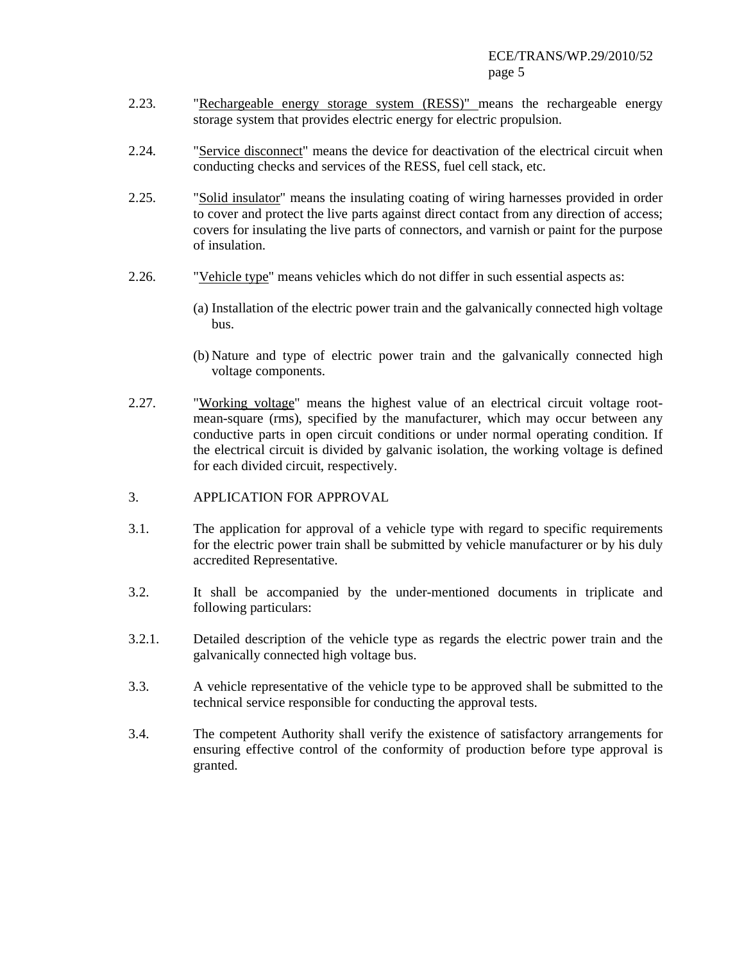- 2.23. "Rechargeable energy storage system (RESS)" means the rechargeable energy storage system that provides electric energy for electric propulsion.
- 2.24. "Service disconnect" means the device for deactivation of the electrical circuit when conducting checks and services of the RESS, fuel cell stack, etc.
- 2.25. "Solid insulator" means the insulating coating of wiring harnesses provided in order to cover and protect the live parts against direct contact from any direction of access; covers for insulating the live parts of connectors, and varnish or paint for the purpose of insulation.
- 2.26. "Vehicle type" means vehicles which do not differ in such essential aspects as:
	- (a) Installation of the electric power train and the galvanically connected high voltage bus.
	- (b) Nature and type of electric power train and the galvanically connected high voltage components.
- 2.27. "Working voltage" means the highest value of an electrical circuit voltage rootmean-square (rms), specified by the manufacturer, which may occur between any conductive parts in open circuit conditions or under normal operating condition. If the electrical circuit is divided by galvanic isolation, the working voltage is defined for each divided circuit, respectively.
- 3. APPLICATION FOR APPROVAL
- 3.1. The application for approval of a vehicle type with regard to specific requirements for the electric power train shall be submitted by vehicle manufacturer or by his duly accredited Representative.
- 3.2. It shall be accompanied by the under-mentioned documents in triplicate and following particulars:
- 3.2.1. Detailed description of the vehicle type as regards the electric power train and the galvanically connected high voltage bus.
- 3.3. A vehicle representative of the vehicle type to be approved shall be submitted to the technical service responsible for conducting the approval tests.
- 3.4. The competent Authority shall verify the existence of satisfactory arrangements for ensuring effective control of the conformity of production before type approval is granted.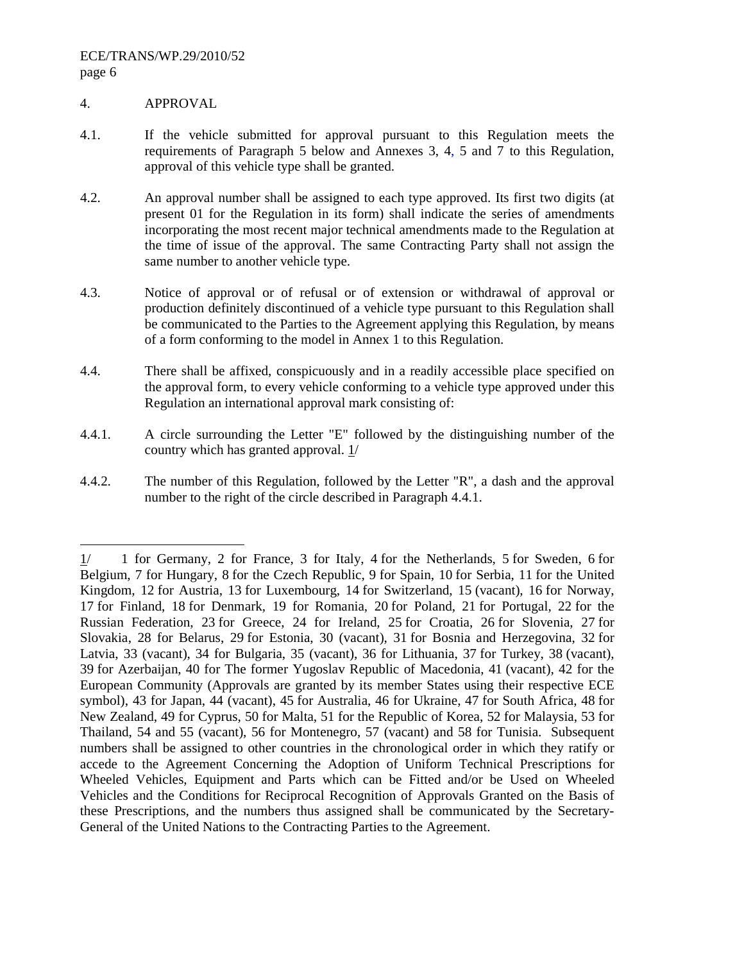#### 4. APPROVAL

-

- 4.1. If the vehicle submitted for approval pursuant to this Regulation meets the requirements of Paragraph 5 below and Annexes 3, 4, 5 and 7 to this Regulation, approval of this vehicle type shall be granted.
- 4.2. An approval number shall be assigned to each type approved. Its first two digits (at present 01 for the Regulation in its form) shall indicate the series of amendments incorporating the most recent major technical amendments made to the Regulation at the time of issue of the approval. The same Contracting Party shall not assign the same number to another vehicle type.
- 4.3. Notice of approval or of refusal or of extension or withdrawal of approval or production definitely discontinued of a vehicle type pursuant to this Regulation shall be communicated to the Parties to the Agreement applying this Regulation, by means of a form conforming to the model in Annex 1 to this Regulation.
- 4.4. There shall be affixed, conspicuously and in a readily accessible place specified on the approval form, to every vehicle conforming to a vehicle type approved under this Regulation an international approval mark consisting of:
- 4.4.1.A circle surrounding the Letter "E" followed by the distinguishing number of the country which has granted approval. 1/
- 4.4.2.The number of this Regulation, followed by the Letter "R", a dash and the approval number to the right of the circle described in Paragraph 4.4.1.

 $1/$  1 for Germany, 2 for France, 3 for Italy, 4 for the Netherlands, 5 for Sweden, 6 for Belgium, 7 for Hungary, 8 for the Czech Republic, 9 for Spain, 10 for Serbia, 11 for the United Kingdom, 12 for Austria, 13 for Luxembourg, 14 for Switzerland, 15 (vacant), 16 for Norway, 17 for Finland, 18 for Denmark, 19 for Romania, 20 for Poland, 21 for Portugal, 22 for the Russian Federation, 23 for Greece, 24 for Ireland, 25 for Croatia, 26 for Slovenia, 27 for Slovakia, 28 for Belarus, 29 for Estonia, 30 (vacant), 31 for Bosnia and Herzegovina, 32 for Latvia, 33 (vacant), 34 for Bulgaria, 35 (vacant), 36 for Lithuania, 37 for Turkey, 38 (vacant), 39 for Azerbaijan, 40 for The former Yugoslav Republic of Macedonia, 41 (vacant), 42 for the European Community (Approvals are granted by its member States using their respective ECE symbol), 43 for Japan, 44 (vacant), 45 for Australia, 46 for Ukraine, 47 for South Africa, 48 for New Zealand, 49 for Cyprus, 50 for Malta, 51 for the Republic of Korea, 52 for Malaysia, 53 for Thailand, 54 and 55 (vacant), 56 for Montenegro, 57 (vacant) and 58 for Tunisia. Subsequent numbers shall be assigned to other countries in the chronological order in which they ratify or accede to the Agreement Concerning the Adoption of Uniform Technical Prescriptions for Wheeled Vehicles, Equipment and Parts which can be Fitted and/or be Used on Wheeled Vehicles and the Conditions for Reciprocal Recognition of Approvals Granted on the Basis of these Prescriptions, and the numbers thus assigned shall be communicated by the Secretary-General of the United Nations to the Contracting Parties to the Agreement.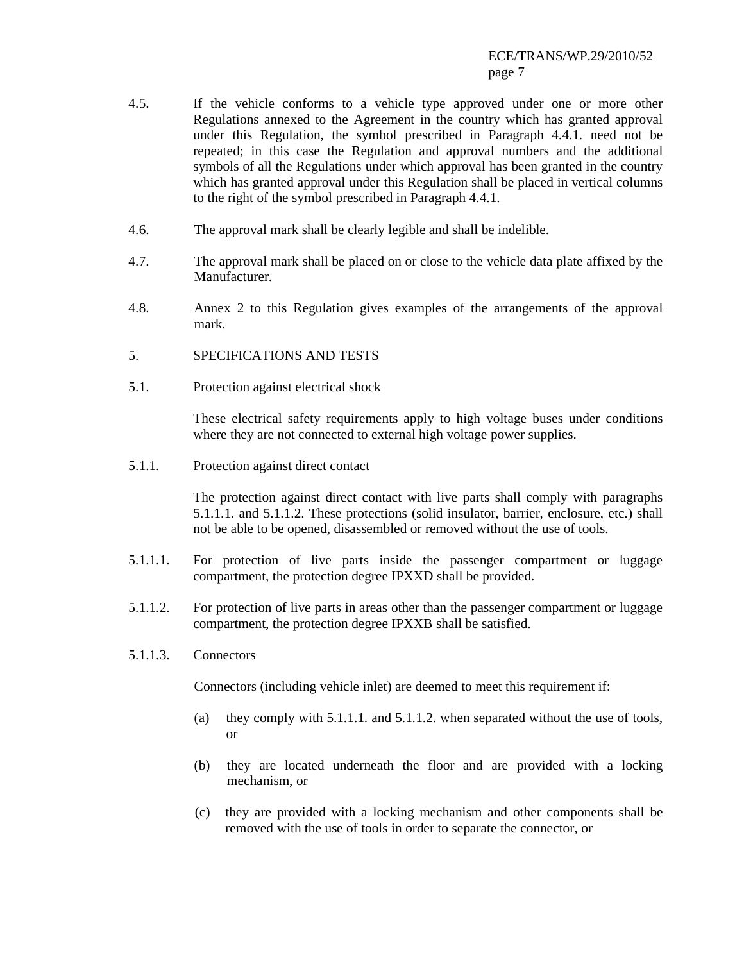- 4.5. If the vehicle conforms to a vehicle type approved under one or more other Regulations annexed to the Agreement in the country which has granted approval under this Regulation, the symbol prescribed in Paragraph 4.4.1. need not be repeated; in this case the Regulation and approval numbers and the additional symbols of all the Regulations under which approval has been granted in the country which has granted approval under this Regulation shall be placed in vertical columns to the right of the symbol prescribed in Paragraph 4.4.1.
- 4.6. The approval mark shall be clearly legible and shall be indelible.
- 4.7. The approval mark shall be placed on or close to the vehicle data plate affixed by the Manufacturer.
- 4.8. Annex 2 to this Regulation gives examples of the arrangements of the approval mark.
- 5. SPECIFICATIONS AND TESTS
- 5.1. Protection against electrical shock

These electrical safety requirements apply to high voltage buses under conditions where they are not connected to external high voltage power supplies.

5.1.1. Protection against direct contact

The protection against direct contact with live parts shall comply with paragraphs 5.1.1.1. and 5.1.1.2. These protections (solid insulator, barrier, enclosure, etc.) shall not be able to be opened, disassembled or removed without the use of tools.

- 5.1.1.1. For protection of live parts inside the passenger compartment or luggage compartment, the protection degree IPXXD shall be provided.
- 5.1.1.2. For protection of live parts in areas other than the passenger compartment or luggage compartment, the protection degree IPXXB shall be satisfied.
- 5.1.1.3. Connectors

Connectors (including vehicle inlet) are deemed to meet this requirement if:

- (a) they comply with  $5.1.1.1$ . and  $5.1.1.2$ . when separated without the use of tools, or
- (b) they are located underneath the floor and are provided with a locking mechanism, or
- (c) they are provided with a locking mechanism and other components shall be removed with the use of tools in order to separate the connector, or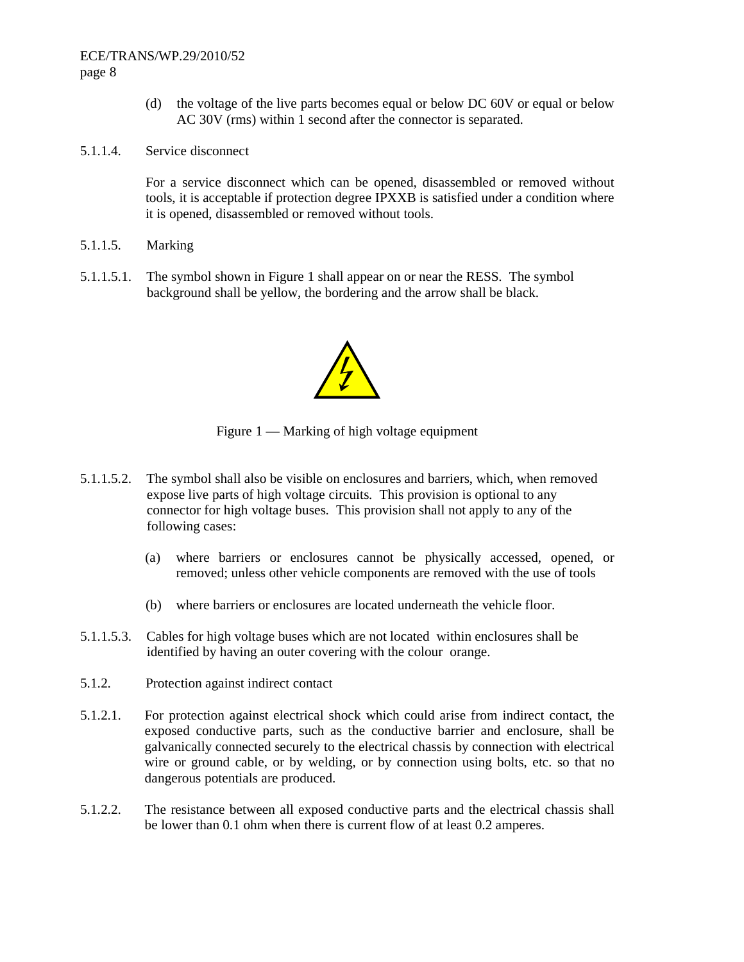## ECE/TRANS/WP.29/2010/52 page 8

- (d) the voltage of the live parts becomes equal or below DC 60V or equal or below AC 30V (rms) within 1 second after the connector is separated.
- 5.1.1.4. Service disconnect

For a service disconnect which can be opened, disassembled or removed without tools, it is acceptable if protection degree IPXXB is satisfied under a condition where it is opened, disassembled or removed without tools.

- 5.1.1.5. Marking
- 5.1.1.5.1. The symbol shown in Figure 1 shall appear on or near the RESS. The symbol background shall be yellow, the bordering and the arrow shall be black.



Figure 1 — Marking of high voltage equipment

- 5.1.1.5.2. The symbol shall also be visible on enclosures and barriers, which, when removed expose live parts of high voltage circuits. This provision is optional to any connector for high voltage buses. This provision shall not apply to any of the following cases:
	- (a) where barriers or enclosures cannot be physically accessed, opened, or removed; unless other vehicle components are removed with the use of tools
	- (b) where barriers or enclosures are located underneath the vehicle floor.
- 5.1.1.5.3. Cables for high voltage buses which are not located within enclosures shall be identified by having an outer covering with the colour orange.
- 5.1.2. Protection against indirect contact
- 5.1.2.1. For protection against electrical shock which could arise from indirect contact, the exposed conductive parts, such as the conductive barrier and enclosure, shall be galvanically connected securely to the electrical chassis by connection with electrical wire or ground cable, or by welding, or by connection using bolts, etc. so that no dangerous potentials are produced.
- 5.1.2.2. The resistance between all exposed conductive parts and the electrical chassis shall be lower than 0.1 ohm when there is current flow of at least 0.2 amperes.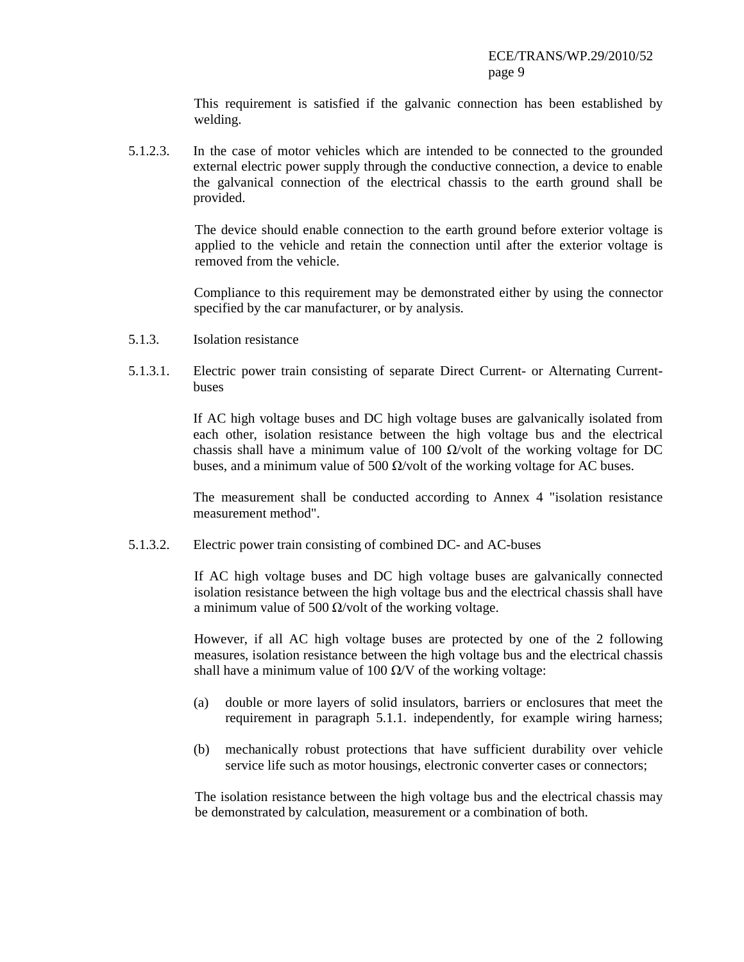This requirement is satisfied if the galvanic connection has been established by welding.

5.1.2.3. In the case of motor vehicles which are intended to be connected to the grounded external electric power supply through the conductive connection, a device to enable the galvanical connection of the electrical chassis to the earth ground shall be provided.

> The device should enable connection to the earth ground before exterior voltage is applied to the vehicle and retain the connection until after the exterior voltage is removed from the vehicle.

> Compliance to this requirement may be demonstrated either by using the connector specified by the car manufacturer, or by analysis.

- 5.1.3. Isolation resistance
- 5.1.3.1. Electric power train consisting of separate Direct Current- or Alternating Currentbuses

If AC high voltage buses and DC high voltage buses are galvanically isolated from each other, isolation resistance between the high voltage bus and the electrical chassis shall have a minimum value of 100  $\Omega$ /volt of the working voltage for DC buses, and a minimum value of 500  $\Omega$ /volt of the working voltage for AC buses.

The measurement shall be conducted according to Annex 4 "isolation resistance measurement method".

5.1.3.2. Electric power train consisting of combined DC- and AC-buses

If AC high voltage buses and DC high voltage buses are galvanically connected isolation resistance between the high voltage bus and the electrical chassis shall have a minimum value of 500  $\Omega$ /volt of the working voltage.

However, if all AC high voltage buses are protected by one of the 2 following measures, isolation resistance between the high voltage bus and the electrical chassis shall have a minimum value of 100  $\Omega$ /V of the working voltage:

- (a) double or more layers of solid insulators, barriers or enclosures that meet the requirement in paragraph 5.1.1. independently, for example wiring harness;
- (b) mechanically robust protections that have sufficient durability over vehicle service life such as motor housings, electronic converter cases or connectors;

The isolation resistance between the high voltage bus and the electrical chassis may be demonstrated by calculation, measurement or a combination of both.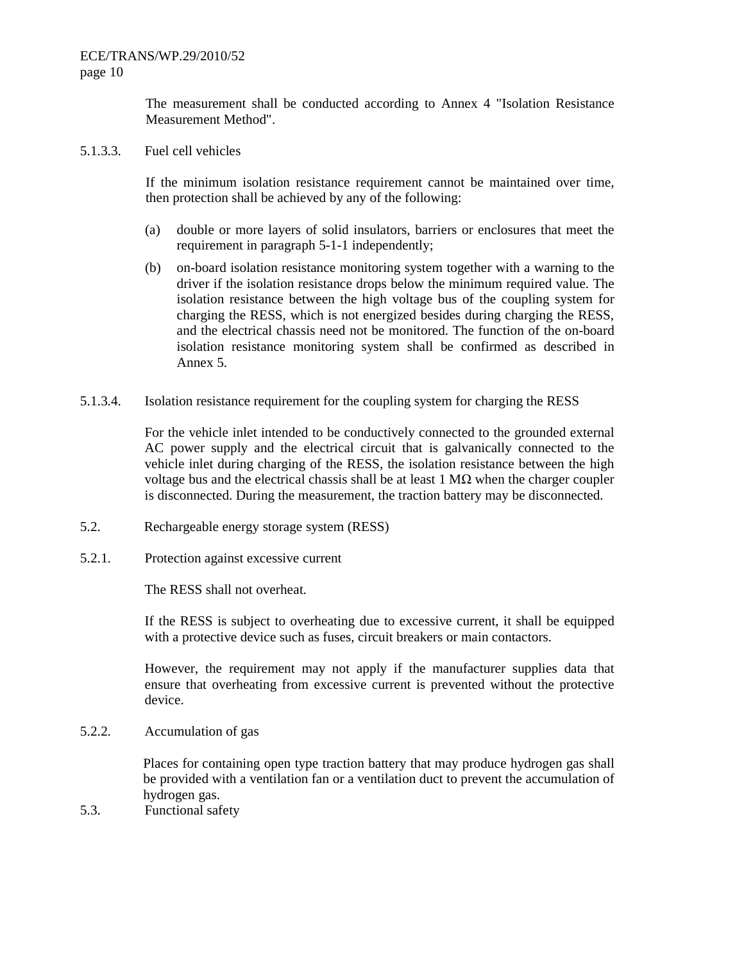The measurement shall be conducted according to Annex 4 "Isolation Resistance Measurement Method".

5.1.3.3. Fuel cell vehicles

If the minimum isolation resistance requirement cannot be maintained over time, then protection shall be achieved by any of the following:

- (a) double or more layers of solid insulators, barriers or enclosures that meet the requirement in paragraph 5-1-1 independently;
- (b) on-board isolation resistance monitoring system together with a warning to the driver if the isolation resistance drops below the minimum required value. The isolation resistance between the high voltage bus of the coupling system for charging the RESS, which is not energized besides during charging the RESS, and the electrical chassis need not be monitored. The function of the on-board isolation resistance monitoring system shall be confirmed as described in Annex 5.
- 5.1.3.4. Isolation resistance requirement for the coupling system for charging the RESS

For the vehicle inlet intended to be conductively connected to the grounded external AC power supply and the electrical circuit that is galvanically connected to the vehicle inlet during charging of the RESS, the isolation resistance between the high voltage bus and the electrical chassis shall be at least  $1 M\Omega$  when the charger coupler is disconnected. During the measurement, the traction battery may be disconnected.

- 5.2. Rechargeable energy storage system (RESS)
- 5.2.1. Protection against excessive current

The RESS shall not overheat.

If the RESS is subject to overheating due to excessive current, it shall be equipped with a protective device such as fuses, circuit breakers or main contactors.

However, the requirement may not apply if the manufacturer supplies data that ensure that overheating from excessive current is prevented without the protective device.

5.2.2. Accumulation of gas

Places for containing open type traction battery that may produce hydrogen gas shall be provided with a ventilation fan or a ventilation duct to prevent the accumulation of hydrogen gas.

5.3. Functional safety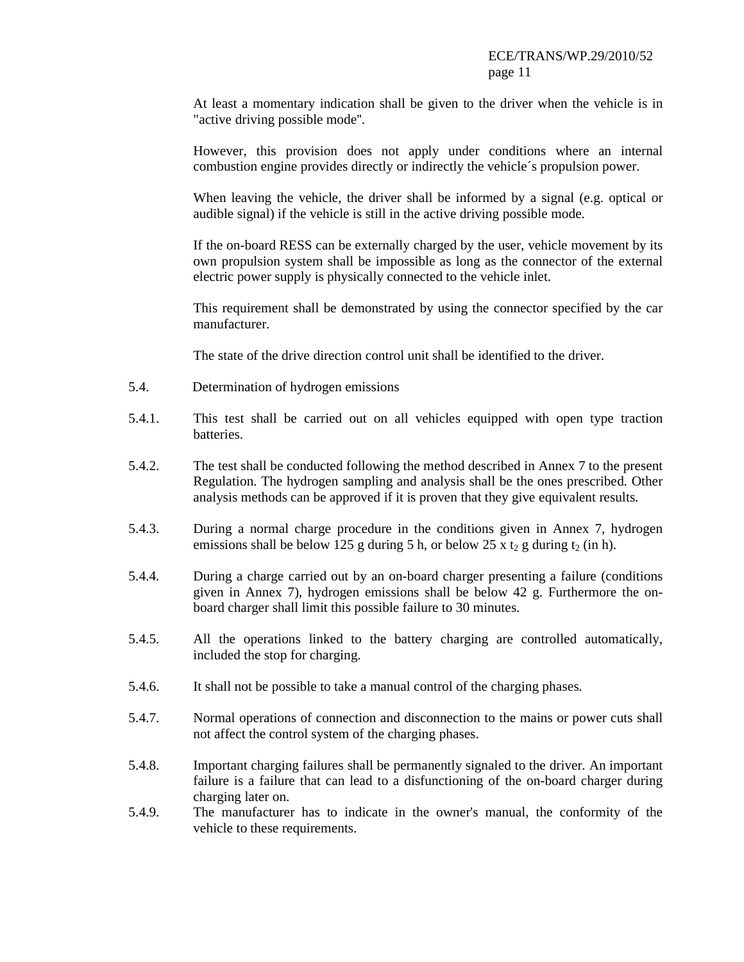At least a momentary indication shall be given to the driver when the vehicle is in "active driving possible mode''.

However, this provision does not apply under conditions where an internal combustion engine provides directly or indirectly the vehicle´s propulsion power.

When leaving the vehicle, the driver shall be informed by a signal (e.g. optical or audible signal) if the vehicle is still in the active driving possible mode.

If the on-board RESS can be externally charged by the user, vehicle movement by its own propulsion system shall be impossible as long as the connector of the external electric power supply is physically connected to the vehicle inlet.

This requirement shall be demonstrated by using the connector specified by the car manufacturer.

The state of the drive direction control unit shall be identified to the driver.

- 5.4. Determination of hydrogen emissions
- 5.4.1. This test shall be carried out on all vehicles equipped with open type traction batteries.
- 5.4.2. The test shall be conducted following the method described in Annex 7 to the present Regulation. The hydrogen sampling and analysis shall be the ones prescribed. Other analysis methods can be approved if it is proven that they give equivalent results.
- 5.4.3. During a normal charge procedure in the conditions given in Annex 7, hydrogen emissions shall be below 125 g during 5 h, or below 25 x t<sub>2</sub> g during t<sub>2</sub> (in h).
- 5.4.4. During a charge carried out by an on-board charger presenting a failure (conditions given in Annex 7), hydrogen emissions shall be below 42 g. Furthermore the onboard charger shall limit this possible failure to 30 minutes.
- 5.4.5. All the operations linked to the battery charging are controlled automatically, included the stop for charging.
- 5.4.6. It shall not be possible to take a manual control of the charging phases.
- 5.4.7. Normal operations of connection and disconnection to the mains or power cuts shall not affect the control system of the charging phases.
- 5.4.8. Important charging failures shall be permanently signaled to the driver. An important failure is a failure that can lead to a disfunctioning of the on-board charger during charging later on.
- 5.4.9. The manufacturer has to indicate in the owner's manual, the conformity of the vehicle to these requirements.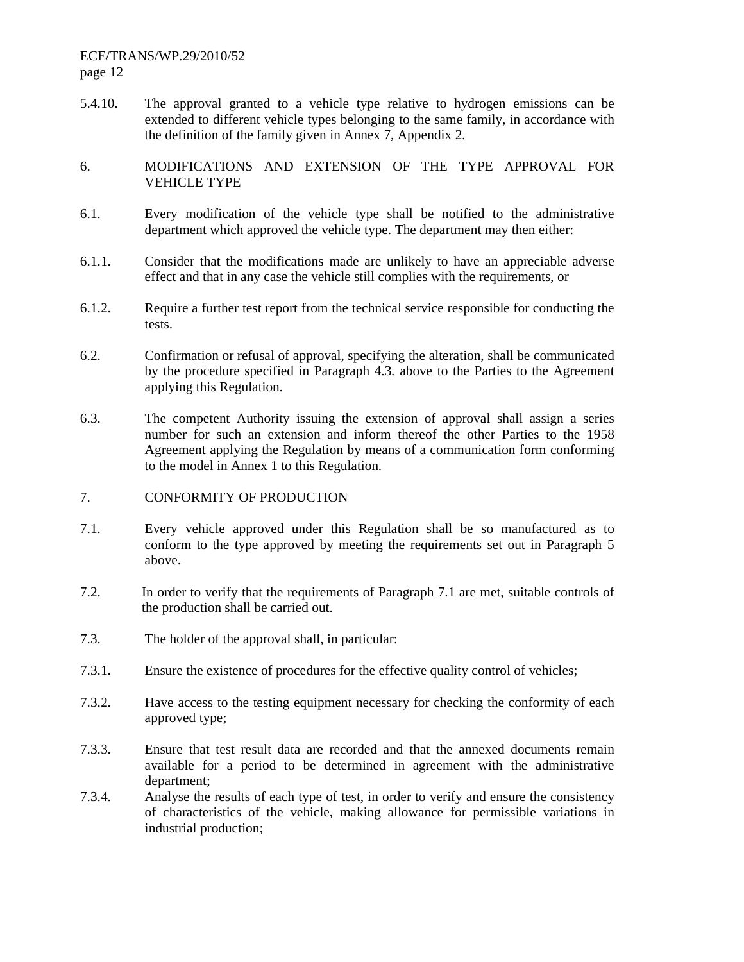# ECE/TRANS/WP.29/2010/52 page 12

- 5.4.10. The approval granted to a vehicle type relative to hydrogen emissions can be extended to different vehicle types belonging to the same family, in accordance with the definition of the family given in Annex 7, Appendix 2.
- 6. MODIFICATIONS AND EXTENSION OF THE TYPE APPROVAL FOR VEHICLE TYPE
- 6.1. Every modification of the vehicle type shall be notified to the administrative department which approved the vehicle type. The department may then either:
- 6.1.1. Consider that the modifications made are unlikely to have an appreciable adverse effect and that in any case the vehicle still complies with the requirements, or
- 6.1.2. Require a further test report from the technical service responsible for conducting the tests.
- 6.2. Confirmation or refusal of approval, specifying the alteration, shall be communicated by the procedure specified in Paragraph 4.3. above to the Parties to the Agreement applying this Regulation.
- 6.3. The competent Authority issuing the extension of approval shall assign a series number for such an extension and inform thereof the other Parties to the 1958 Agreement applying the Regulation by means of a communication form conforming to the model in Annex 1 to this Regulation.
- 7. CONFORMITY OF PRODUCTION
- 7.1. Every vehicle approved under this Regulation shall be so manufactured as to conform to the type approved by meeting the requirements set out in Paragraph 5 above.
- 7.2. In order to verify that the requirements of Paragraph 7.1 are met, suitable controls of the production shall be carried out.
- 7.3. The holder of the approval shall, in particular:
- 7.3.1. Ensure the existence of procedures for the effective quality control of vehicles;
- 7.3.2. Have access to the testing equipment necessary for checking the conformity of each approved type;
- 7.3.3. Ensure that test result data are recorded and that the annexed documents remain available for a period to be determined in agreement with the administrative department;
- 7.3.4. Analyse the results of each type of test, in order to verify and ensure the consistency of characteristics of the vehicle, making allowance for permissible variations in industrial production;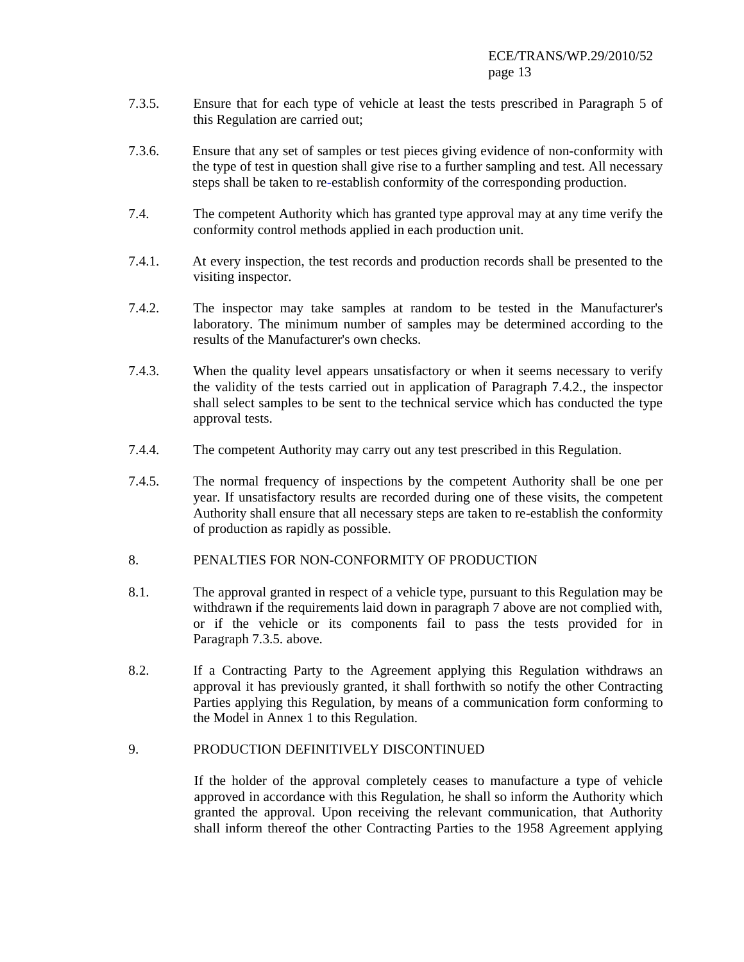- 7.3.5. Ensure that for each type of vehicle at least the tests prescribed in Paragraph 5 of this Regulation are carried out;
- 7.3.6. Ensure that any set of samples or test pieces giving evidence of non-conformity with the type of test in question shall give rise to a further sampling and test. All necessary steps shall be taken to re-establish conformity of the corresponding production.
- 7.4. The competent Authority which has granted type approval may at any time verify the conformity control methods applied in each production unit.
- 7.4.1. At every inspection, the test records and production records shall be presented to the visiting inspector.
- 7.4.2. The inspector may take samples at random to be tested in the Manufacturer's laboratory. The minimum number of samples may be determined according to the results of the Manufacturer's own checks.
- 7.4.3. When the quality level appears unsatisfactory or when it seems necessary to verify the validity of the tests carried out in application of Paragraph 7.4.2., the inspector shall select samples to be sent to the technical service which has conducted the type approval tests.
- 7.4.4. The competent Authority may carry out any test prescribed in this Regulation.
- 7.4.5. The normal frequency of inspections by the competent Authority shall be one per year. If unsatisfactory results are recorded during one of these visits, the competent Authority shall ensure that all necessary steps are taken to re-establish the conformity of production as rapidly as possible.

#### 8. PENALTIES FOR NON-CONFORMITY OF PRODUCTION

- 8.1. The approval granted in respect of a vehicle type, pursuant to this Regulation may be withdrawn if the requirements laid down in paragraph 7 above are not complied with, or if the vehicle or its components fail to pass the tests provided for in Paragraph 7.3.5. above.
- 8.2. If a Contracting Party to the Agreement applying this Regulation withdraws an approval it has previously granted, it shall forthwith so notify the other Contracting Parties applying this Regulation, by means of a communication form conforming to the Model in Annex 1 to this Regulation.

# 9. PRODUCTION DEFINITIVELY DISCONTINUED

If the holder of the approval completely ceases to manufacture a type of vehicle approved in accordance with this Regulation, he shall so inform the Authority which granted the approval. Upon receiving the relevant communication, that Authority shall inform thereof the other Contracting Parties to the 1958 Agreement applying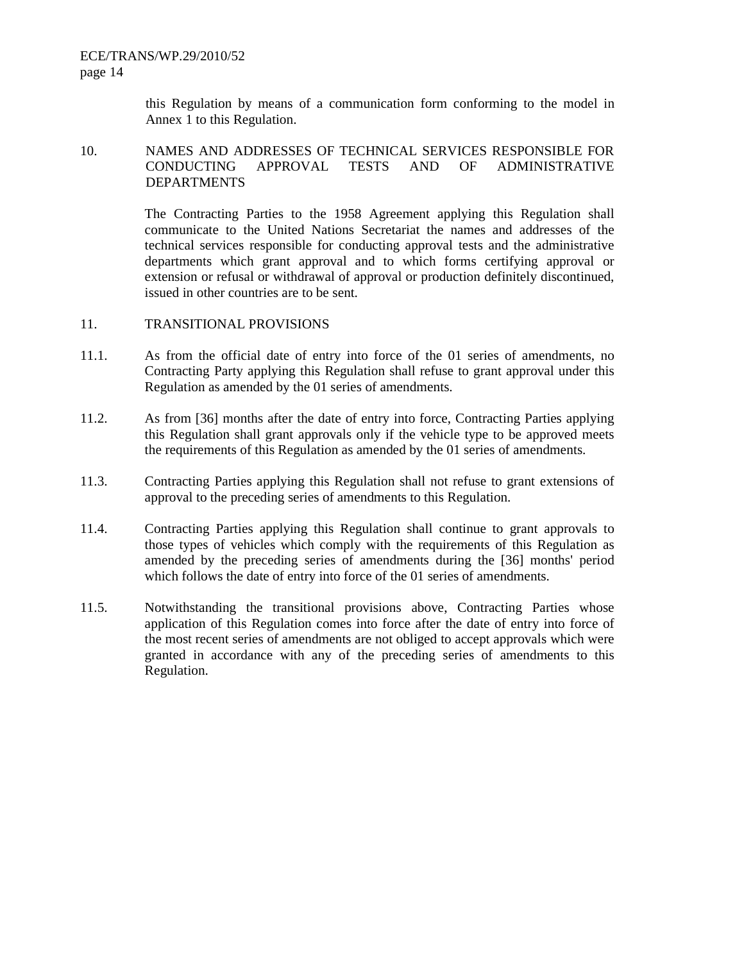ECE/TRANS/WP.29/2010/52 page 14

> this Regulation by means of a communication form conforming to the model in Annex 1 to this Regulation.

#### 10. NAMES AND ADDRESSES OF TECHNICAL SERVICES RESPONSIBLE FOR CONDUCTING APPROVAL TESTS AND OF ADMINISTRATIVE DEPARTMENTS

The Contracting Parties to the 1958 Agreement applying this Regulation shall communicate to the United Nations Secretariat the names and addresses of the technical services responsible for conducting approval tests and the administrative departments which grant approval and to which forms certifying approval or extension or refusal or withdrawal of approval or production definitely discontinued, issued in other countries are to be sent.

#### 11. TRANSITIONAL PROVISIONS

- 11.1. As from the official date of entry into force of the 01 series of amendments, no Contracting Party applying this Regulation shall refuse to grant approval under this Regulation as amended by the 01 series of amendments.
- 11.2. As from [36] months after the date of entry into force, Contracting Parties applying this Regulation shall grant approvals only if the vehicle type to be approved meets the requirements of this Regulation as amended by the 01 series of amendments.
- 11.3. Contracting Parties applying this Regulation shall not refuse to grant extensions of approval to the preceding series of amendments to this Regulation.
- 11.4. Contracting Parties applying this Regulation shall continue to grant approvals to those types of vehicles which comply with the requirements of this Regulation as amended by the preceding series of amendments during the [36] months' period which follows the date of entry into force of the 01 series of amendments.
- 11.5. Notwithstanding the transitional provisions above, Contracting Parties whose application of this Regulation comes into force after the date of entry into force of the most recent series of amendments are not obliged to accept approvals which were granted in accordance with any of the preceding series of amendments to this Regulation.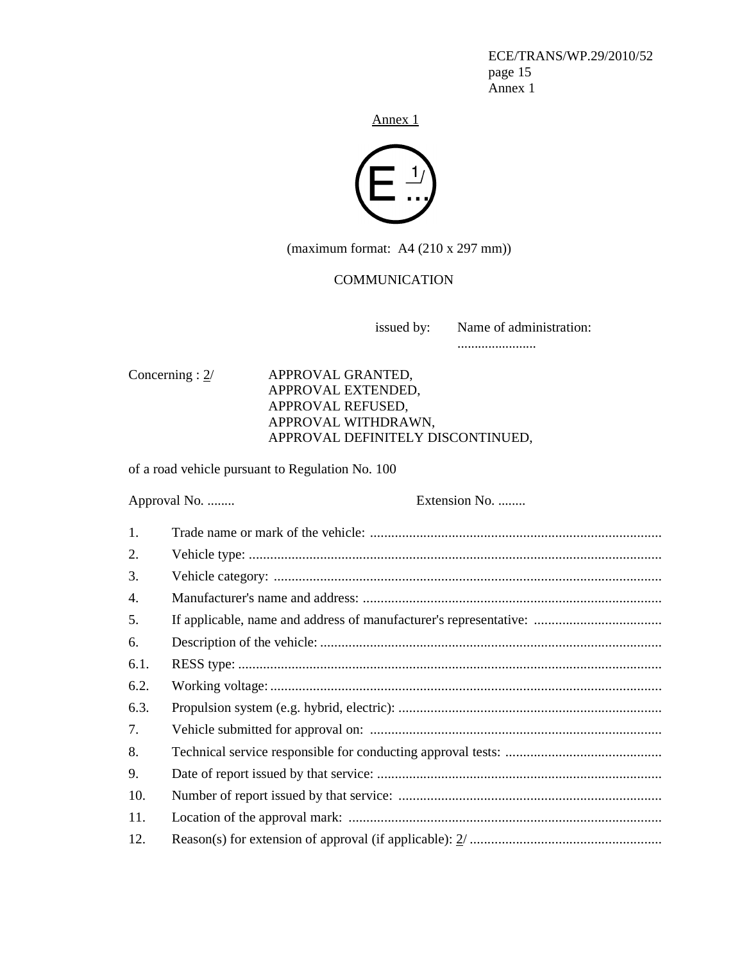ECE/TRANS/WP.29/2010/52 page 15 Annex 1

Annex<sub>1</sub>



(maximum format: A4 (210 x 297 mm))

#### **COMMUNICATION**

issued by: Name of administration:

.......................

Concerning : 2/ APPROVAL GRANTED, APPROVAL EXTENDED, APPROVAL REFUSED, APPROVAL WITHDRAWN, APPROVAL DEFINITELY DISCONTINUED,

of a road vehicle pursuant to Regulation No. 100

Approval No. ........ Extension No. ........ 1. Trade name or mark of the vehicle: .................................................................................. 2. Vehicle type: .................................................................................................................... 3. Vehicle category: ............................................................................................................. 4. Manufacturer's name and address: .................................................................................... 5. If applicable, name and address of manufacturer's representative: .................................... 6. Description of the vehicle: ................................................................................................ 6.1. RESS type: ....................................................................................................................... 6.2. Working voltage: .............................................................................................................. 6.3. Propulsion system (e.g. hybrid, electric): .......................................................................... 7. Vehicle submitted for approval on: .................................................................................. 8. Technical service responsible for conducting approval tests: ............................................ 9. Date of report issued by that service: ................................................................................ 10. Number of report issued by that service: .......................................................................... 11. Location of the approval mark: ........................................................................................ 12. Reason(s) for extension of approval (if applicable): 2/ ......................................................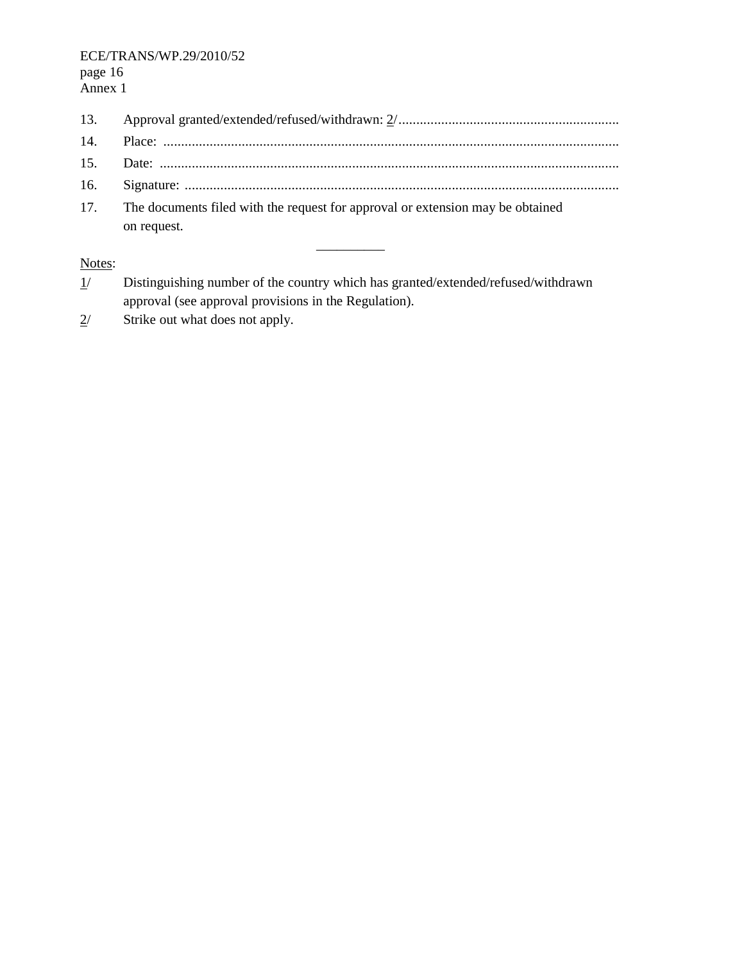13. Approval granted/extended/refused/withdrawn: 2/.............................................................. 14. Place: ................................................................................................................................ 15. Date: ................................................................................................................................. 16. Signature: .......................................................................................................................... 17. The documents filed with the request for approval or extension may be obtained on request.

\_\_\_\_\_\_\_\_\_\_

Notes:

- 1/ Distinguishing number of the country which has granted/extended/refused/withdrawn approval (see approval provisions in the Regulation).
- $2/$  Strike out what does not apply.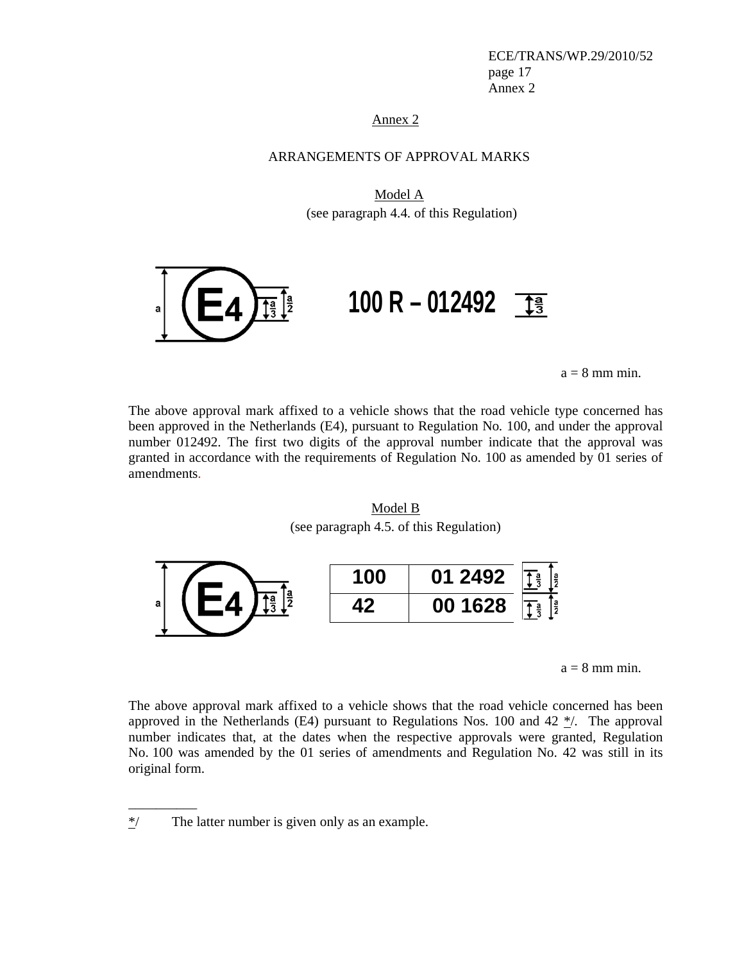ECE/TRANS/WP.29/2010/52 page 17 Annex 2

Annex 2

#### ARRANGEMENTS OF APPROVAL MARKS

Model A (see paragraph 4.4. of this Regulation)



 $a = 8$  mm min.

The above approval mark affixed to a vehicle shows that the road vehicle type concerned has been approved in the Netherlands (E4), pursuant to Regulation No. 100, and under the approval number 012492. The first two digits of the approval number indicate that the approval was granted in accordance with the requirements of Regulation No. 100 as amended by 01 series of amendments.

Model B (see paragraph 4.5. of this Regulation)



 $a = 8$  mm min.

The above approval mark affixed to a vehicle shows that the road vehicle concerned has been approved in the Netherlands (E4) pursuant to Regulations Nos. 100 and  $42 \frac{\ast}{2}$ . The approval number indicates that, at the dates when the respective approvals were granted, Regulation No. 100 was amended by the 01 series of amendments and Regulation No. 42 was still in its original form.

\_\_\_\_\_\_\_\_\_\_

 $*$ / The latter number is given only as an example.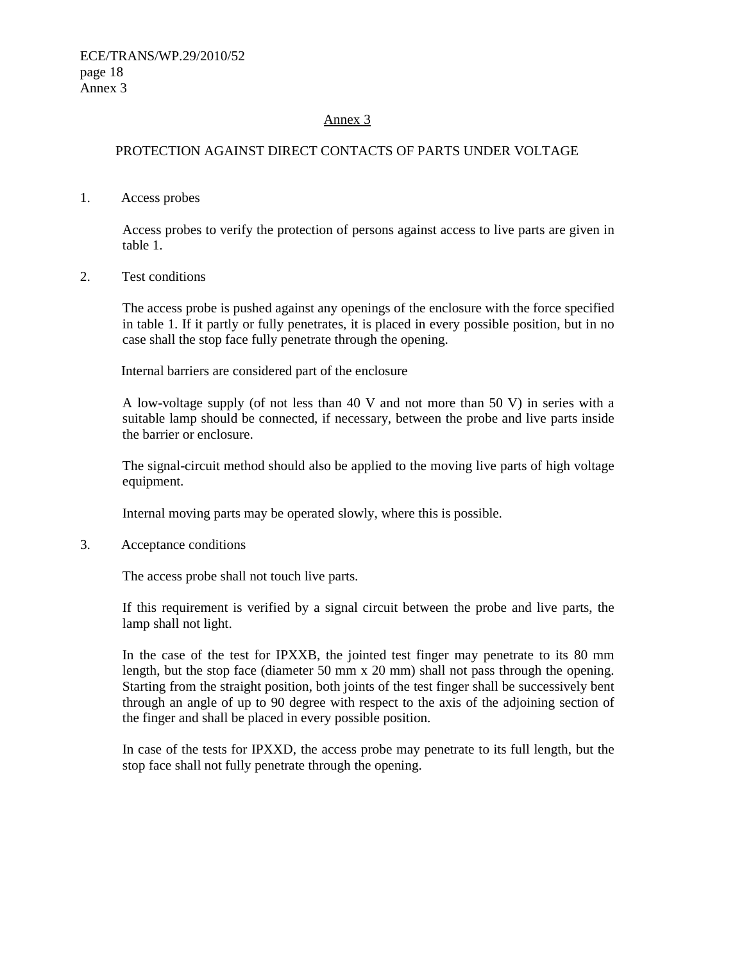#### Annex 3

#### PROTECTION AGAINST DIRECT CONTACTS OF PARTS UNDER VOLTAGE

1. Access probes

Access probes to verify the protection of persons against access to live parts are given in table 1.

2. Test conditions

The access probe is pushed against any openings of the enclosure with the force specified in table 1. If it partly or fully penetrates, it is placed in every possible position, but in no case shall the stop face fully penetrate through the opening.

Internal barriers are considered part of the enclosure

A low-voltage supply (of not less than 40 V and not more than 50 V) in series with a suitable lamp should be connected, if necessary, between the probe and live parts inside the barrier or enclosure.

The signal-circuit method should also be applied to the moving live parts of high voltage equipment.

Internal moving parts may be operated slowly, where this is possible.

3. Acceptance conditions

The access probe shall not touch live parts.

If this requirement is verified by a signal circuit between the probe and live parts, the lamp shall not light.

In the case of the test for IPXXB, the jointed test finger may penetrate to its 80 mm length, but the stop face (diameter 50 mm x 20 mm) shall not pass through the opening. Starting from the straight position, both joints of the test finger shall be successively bent through an angle of up to 90 degree with respect to the axis of the adjoining section of the finger and shall be placed in every possible position.

In case of the tests for IPXXD, the access probe may penetrate to its full length, but the stop face shall not fully penetrate through the opening.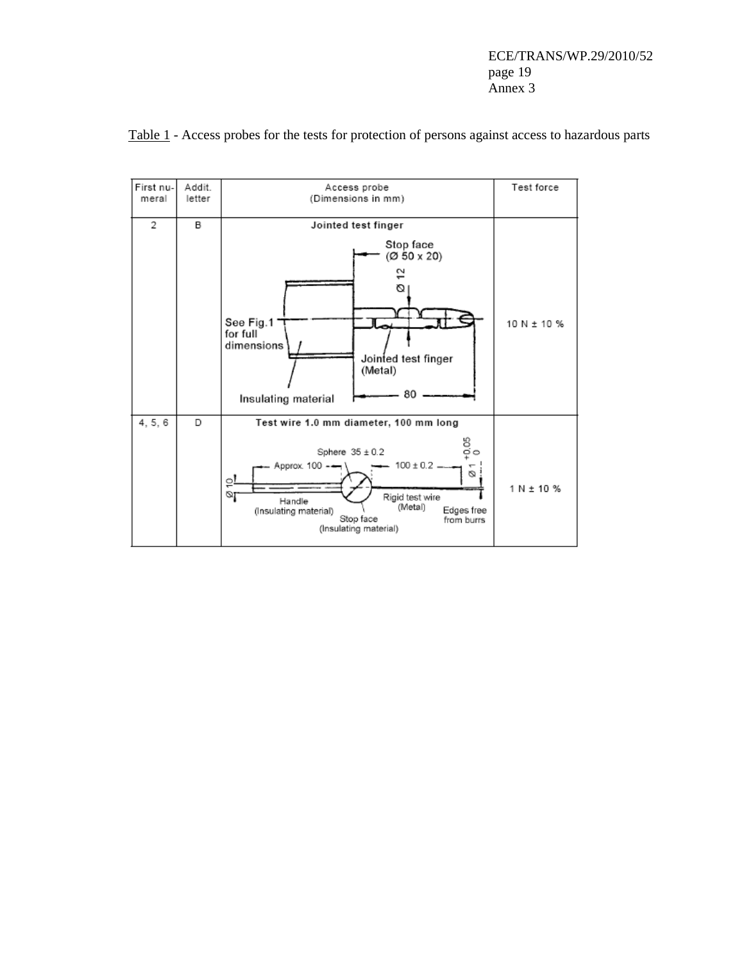

Table 1 - Access probes for the tests for protection of persons against access to hazardous parts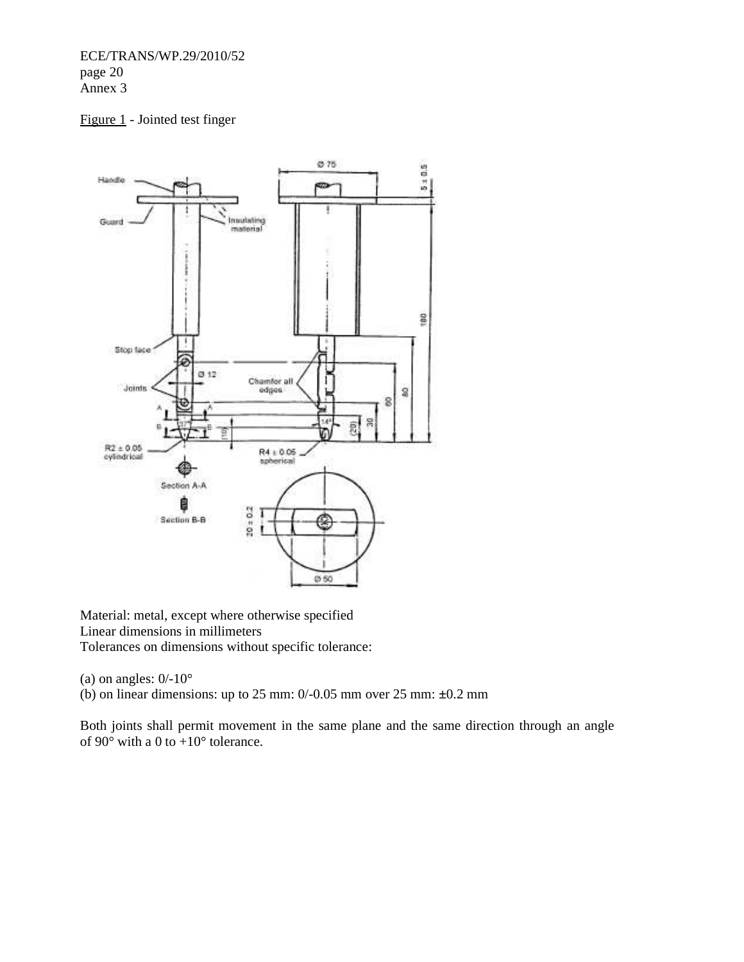ECE/TRANS/WP.29/2010/52 page 20 Annex 3

## Figure 1 - Jointed test finger



Material: metal, except where otherwise specified Linear dimensions in millimeters Tolerances on dimensions without specific tolerance:

(a) on angles:  $0/-10^{\circ}$ 

(b) on linear dimensions: up to 25 mm: 0/-0.05 mm over 25 mm: **±**0.2 mm

Both joints shall permit movement in the same plane and the same direction through an angle of 90 $\degree$  with a 0 to +10 $\degree$  tolerance.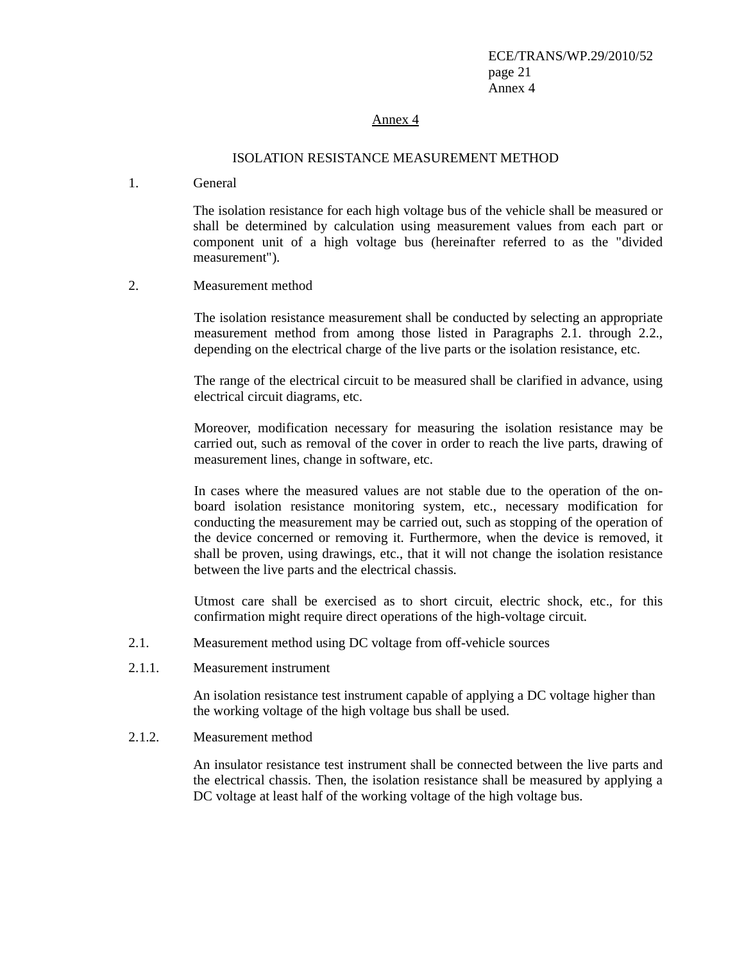#### Annex 4

#### ISOLATION RESISTANCE MEASUREMENT METHOD

1. General

The isolation resistance for each high voltage bus of the vehicle shall be measured or shall be determined by calculation using measurement values from each part or component unit of a high voltage bus (hereinafter referred to as the "divided measurement").

2. Measurement method

The isolation resistance measurement shall be conducted by selecting an appropriate measurement method from among those listed in Paragraphs 2.1. through 2.2., depending on the electrical charge of the live parts or the isolation resistance, etc.

The range of the electrical circuit to be measured shall be clarified in advance, using electrical circuit diagrams, etc.

Moreover, modification necessary for measuring the isolation resistance may be carried out, such as removal of the cover in order to reach the live parts, drawing of measurement lines, change in software, etc.

In cases where the measured values are not stable due to the operation of the onboard isolation resistance monitoring system, etc., necessary modification for conducting the measurement may be carried out, such as stopping of the operation of the device concerned or removing it. Furthermore, when the device is removed, it shall be proven, using drawings, etc., that it will not change the isolation resistance between the live parts and the electrical chassis.

Utmost care shall be exercised as to short circuit, electric shock, etc., for this confirmation might require direct operations of the high-voltage circuit.

- 2.1. Measurement method using DC voltage from off-vehicle sources
- 2.1.1. Measurement instrument

An isolation resistance test instrument capable of applying a DC voltage higher than the working voltage of the high voltage bus shall be used.

#### 2.1.2. Measurement method

An insulator resistance test instrument shall be connected between the live parts and the electrical chassis. Then, the isolation resistance shall be measured by applying a DC voltage at least half of the working voltage of the high voltage bus.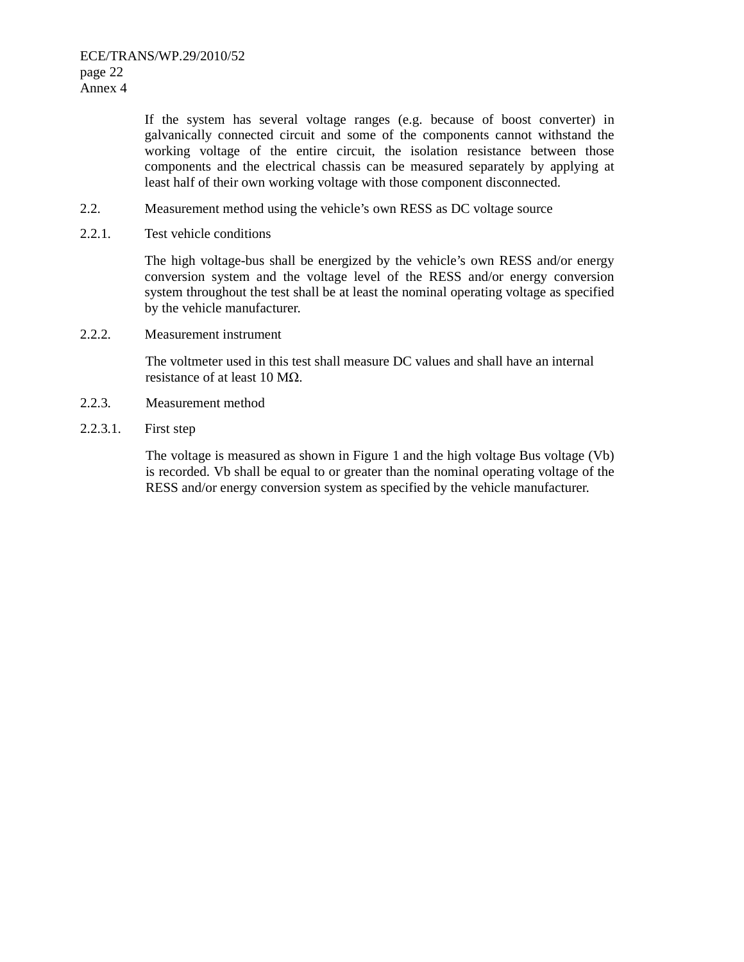If the system has several voltage ranges (e.g. because of boost converter) in galvanically connected circuit and some of the components cannot withstand the working voltage of the entire circuit, the isolation resistance between those components and the electrical chassis can be measured separately by applying at least half of their own working voltage with those component disconnected.

- 2.2. Measurement method using the vehicle's own RESS as DC voltage source
- 2.2.1. Test vehicle conditions

The high voltage-bus shall be energized by the vehicle's own RESS and/or energy conversion system and the voltage level of the RESS and/or energy conversion system throughout the test shall be at least the nominal operating voltage as specified by the vehicle manufacturer.

2.2.2. Measurement instrument

The voltmeter used in this test shall measure DC values and shall have an internal resistance of at least 10 MΩ.

- 2.2.3. Measurement method
- 2.2.3.1. First step

The voltage is measured as shown in Figure 1 and the high voltage Bus voltage (Vb) is recorded. Vb shall be equal to or greater than the nominal operating voltage of the RESS and/or energy conversion system as specified by the vehicle manufacturer.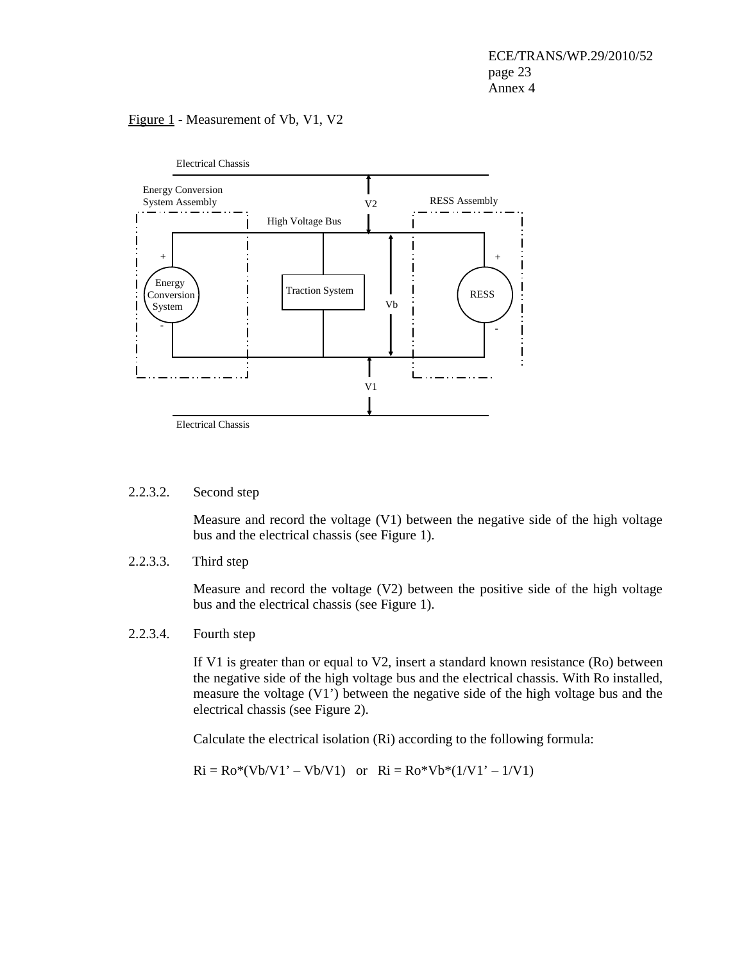#### Figure 1 **-** Measurement of Vb, V1, V2



#### 2.2.3.2. Second step

Measure and record the voltage (V1) between the negative side of the high voltage bus and the electrical chassis (see Figure 1).

2.2.3.3. Third step

Measure and record the voltage (V2) between the positive side of the high voltage bus and the electrical chassis (see Figure 1).

#### 2.2.3.4. Fourth step

If V1 is greater than or equal to V2, insert a standard known resistance (Ro) between the negative side of the high voltage bus and the electrical chassis. With Ro installed, measure the voltage (V1') between the negative side of the high voltage bus and the electrical chassis (see Figure 2).

Calculate the electrical isolation (Ri) according to the following formula:

 $Ri = Ro*(Vb/V1' - Vb/V1)$  or  $Ri = Ro*Vb*(1/V1' - 1/V1)$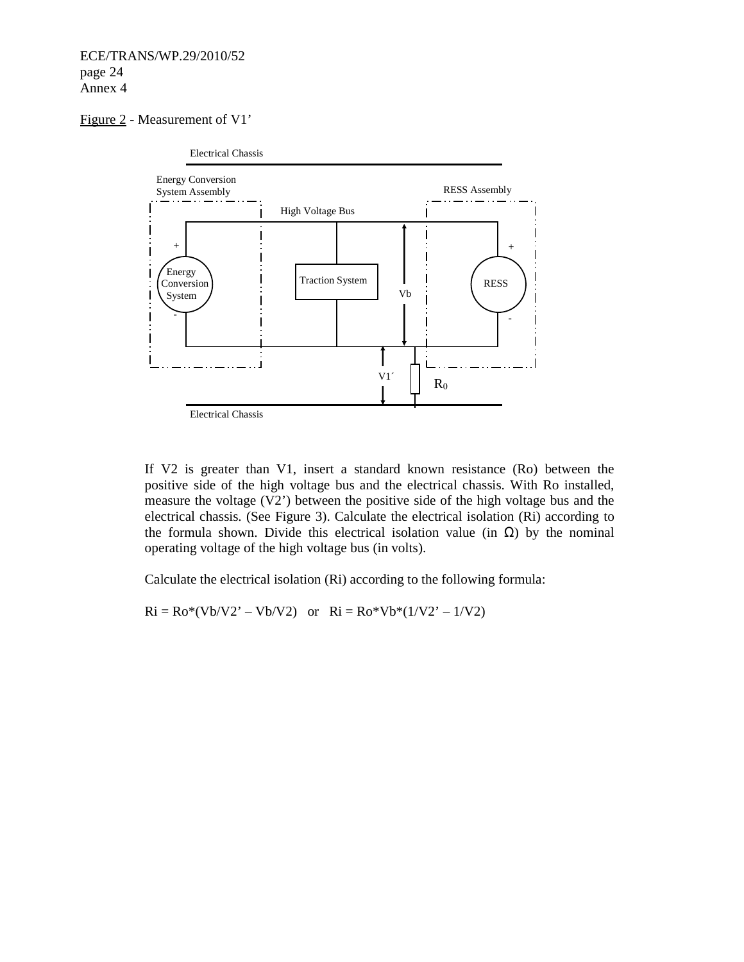#### Figure 2 - Measurement of V1'



If V2 is greater than V1, insert a standard known resistance (Ro) between the positive side of the high voltage bus and the electrical chassis. With Ro installed, measure the voltage (V2') between the positive side of the high voltage bus and the electrical chassis. (See Figure 3). Calculate the electrical isolation (Ri) according to the formula shown. Divide this electrical isolation value (in  $\Omega$ ) by the nominal operating voltage of the high voltage bus (in volts).

Calculate the electrical isolation (Ri) according to the following formula:

 $Ri = Ro*(Vb/V2' - Vb/V2)$  or  $Ri = Ro*Vb*(1/V2' - 1/V2)$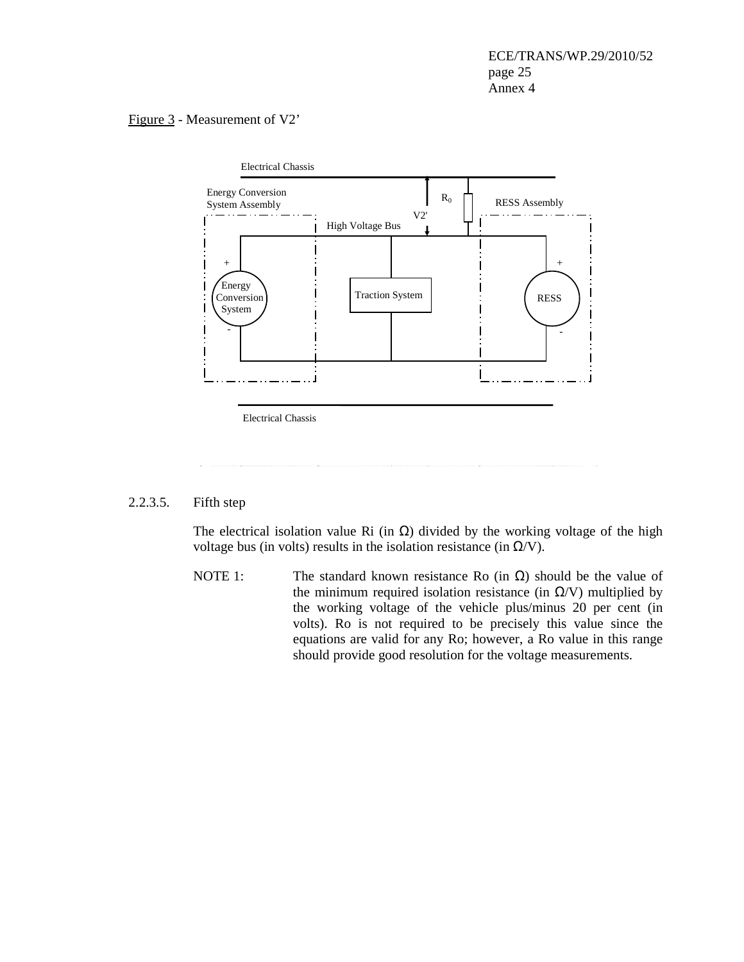#### Figure 3 - Measurement of V2'



Electrical Chassis

#### 2.2.3.5. Fifth step

The electrical isolation value Ri (in  $\Omega$ ) divided by the working voltage of the high voltage bus (in volts) results in the isolation resistance (in  $Ω/V$ ).

NOTE 1: The standard known resistance Ro (in  $\Omega$ ) should be the value of the minimum required isolation resistance (in  $\Omega$ /V) multiplied by the working voltage of the vehicle plus/minus 20 per cent (in volts). Ro is not required to be precisely this value since the equations are valid for any Ro; however, a Ro value in this range should provide good resolution for the voltage measurements.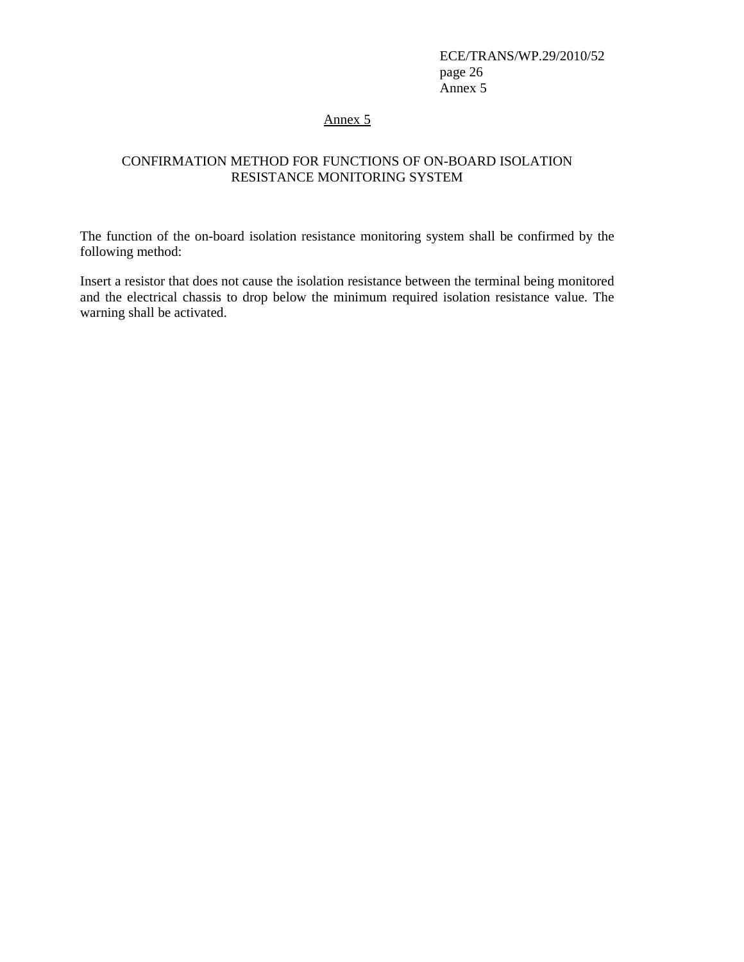ECE/TRANS/WP.29/2010/52 page 26 Annex 5

Annex 5

# CONFIRMATION METHOD FOR FUNCTIONS OF ON-BOARD ISOLATION RESISTANCE MONITORING SYSTEM

The function of the on-board isolation resistance monitoring system shall be confirmed by the following method:

Insert a resistor that does not cause the isolation resistance between the terminal being monitored and the electrical chassis to drop below the minimum required isolation resistance value. The warning shall be activated.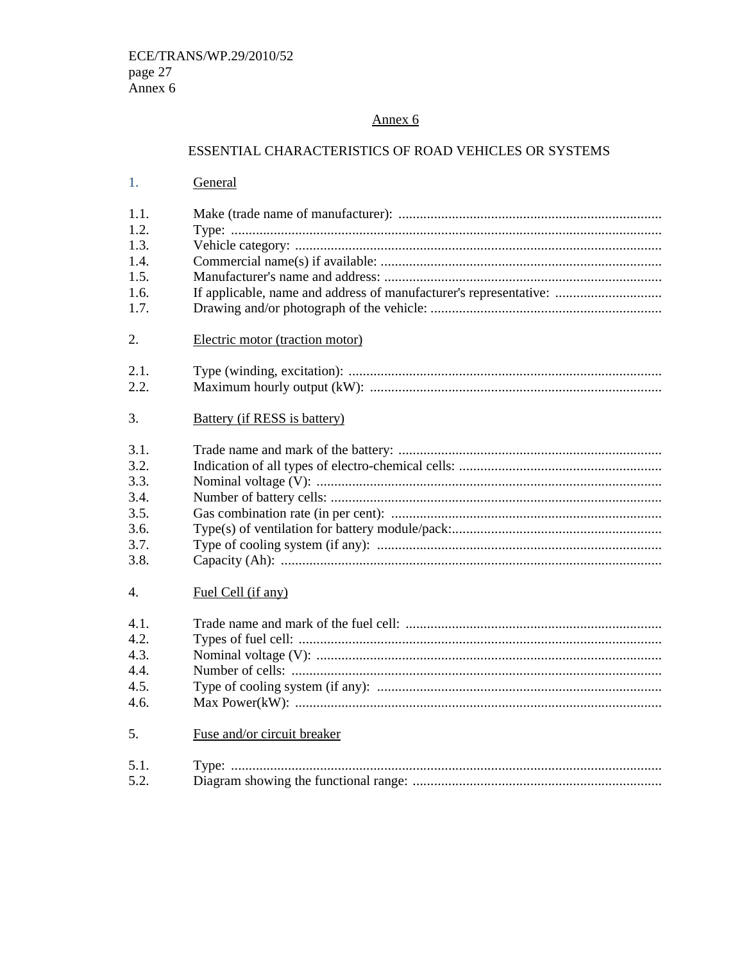# Annex 6

# ESSENTIAL CHARACTERISTICS OF ROAD VEHICLES OR SYSTEMS

| 1.   | General                                                           |
|------|-------------------------------------------------------------------|
| 1.1. |                                                                   |
| 1.2. |                                                                   |
| 1.3. |                                                                   |
| 1.4. |                                                                   |
| 1.5. |                                                                   |
| 1.6. | If applicable, name and address of manufacturer's representative: |
| 1.7. |                                                                   |
| 2.   | Electric motor (traction motor)                                   |
| 2.1. |                                                                   |
| 2.2. |                                                                   |
| 3.   | <b>Battery</b> (if RESS is battery)                               |
| 3.1. |                                                                   |
| 3.2. |                                                                   |
| 3.3. |                                                                   |
| 3.4. |                                                                   |
| 3.5. |                                                                   |
| 3.6. |                                                                   |
| 3.7. |                                                                   |
| 3.8. |                                                                   |
| 4.   | Fuel Cell (if any)                                                |
| 4.1. |                                                                   |
| 4.2. |                                                                   |
| 4.3. |                                                                   |
| 4.4. |                                                                   |
| 4.5. |                                                                   |
| 4.6. |                                                                   |
| 5.   | Fuse and/or circuit breaker                                       |
| 5.1. |                                                                   |
| 5.2. |                                                                   |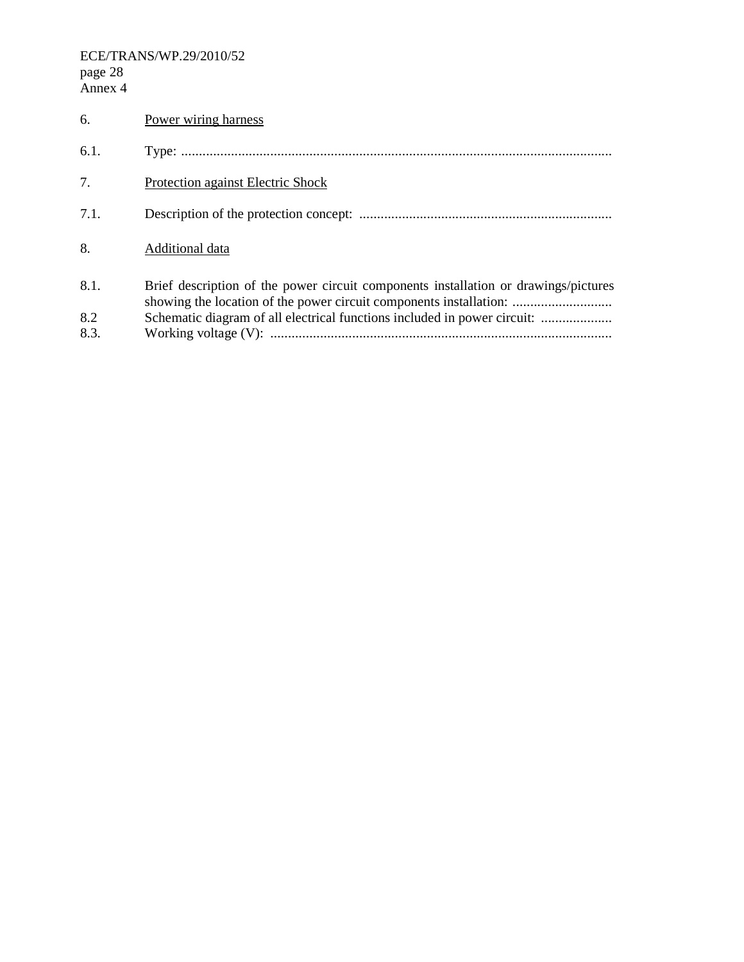ECE/TRANS/WP.29/2010/52 page 28 Annex 4

| 6.   | Power wiring harness                                                                                                                                      |
|------|-----------------------------------------------------------------------------------------------------------------------------------------------------------|
| 6.1. |                                                                                                                                                           |
| 7.   | Protection against Electric Shock                                                                                                                         |
| 7.1. |                                                                                                                                                           |
| 8.   | Additional data                                                                                                                                           |
| 8.1. | Brief description of the power circuit components installation or drawings/pictures<br>showing the location of the power circuit components installation: |
| 8.2  | Schematic diagram of all electrical functions included in power circuit:                                                                                  |
| 8.3. |                                                                                                                                                           |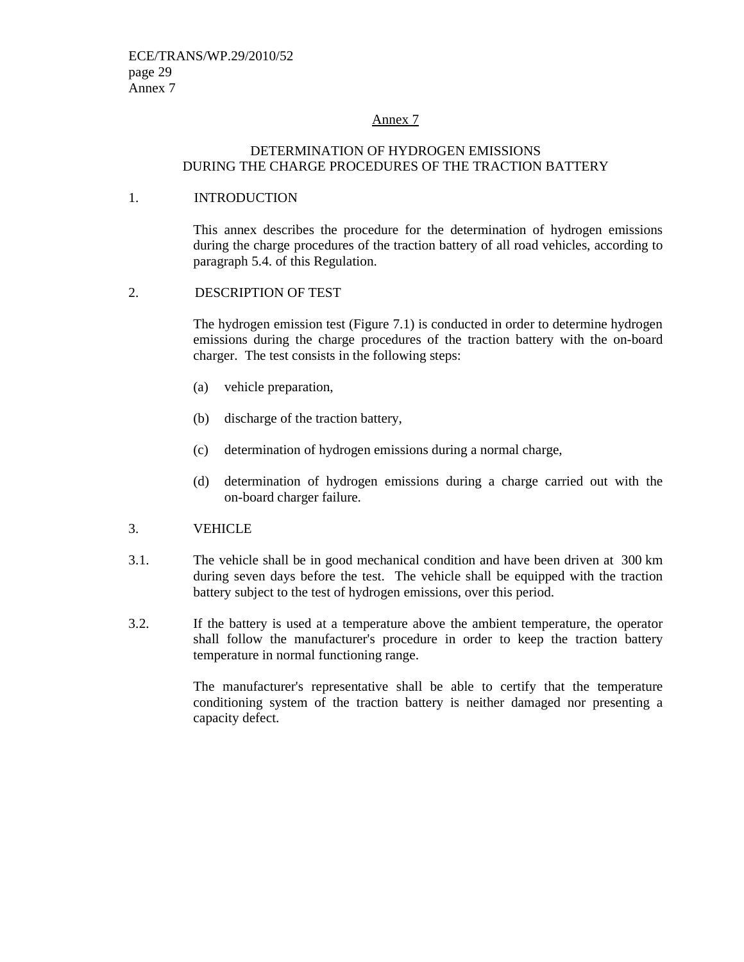#### Annex 7

#### DETERMINATION OF HYDROGEN EMISSIONS DURING THE CHARGE PROCEDURES OF THE TRACTION BATTERY

#### 1. INTRODUCTION

 This annex describes the procedure for the determination of hydrogen emissions during the charge procedures of the traction battery of all road vehicles, according to paragraph 5.4. of this Regulation.

#### 2. DESCRIPTION OF TEST

 The hydrogen emission test (Figure 7.1) is conducted in order to determine hydrogen emissions during the charge procedures of the traction battery with the on-board charger. The test consists in the following steps:

- (a) vehicle preparation,
- (b) discharge of the traction battery,
- (c) determination of hydrogen emissions during a normal charge,
- (d) determination of hydrogen emissions during a charge carried out with the on-board charger failure.
- 3. VEHICLE
- 3.1. The vehicle shall be in good mechanical condition and have been driven at 300 km during seven days before the test. The vehicle shall be equipped with the traction battery subject to the test of hydrogen emissions, over this period.
- 3.2. If the battery is used at a temperature above the ambient temperature, the operator shall follow the manufacturer's procedure in order to keep the traction battery temperature in normal functioning range.

The manufacturer's representative shall be able to certify that the temperature conditioning system of the traction battery is neither damaged nor presenting a capacity defect.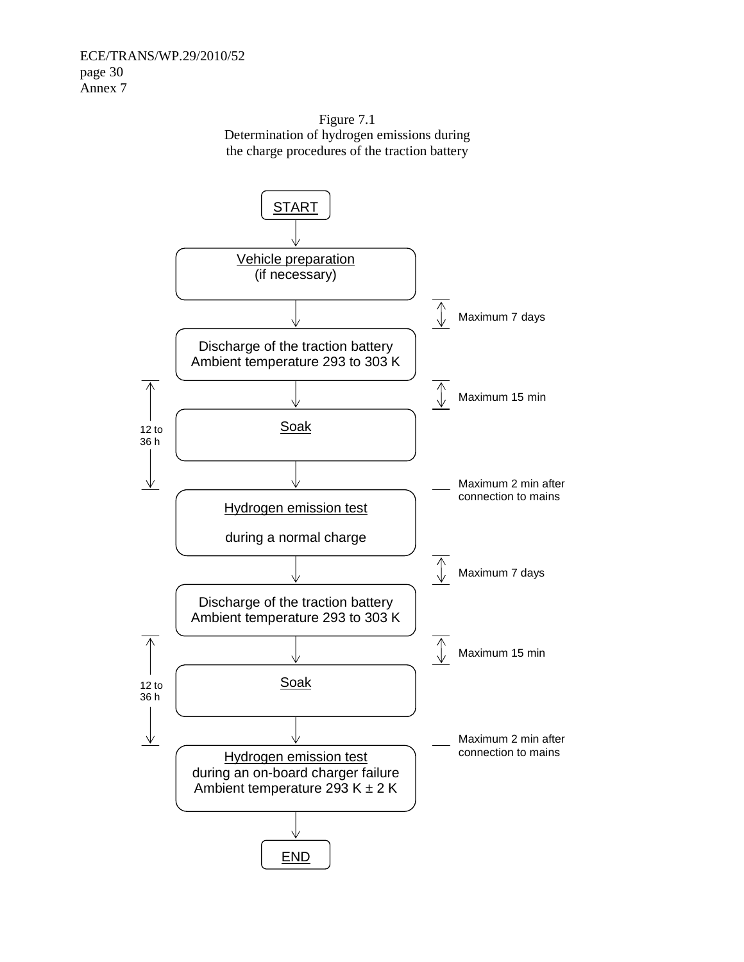

END

Figure 7.1 Determination of hydrogen emissions during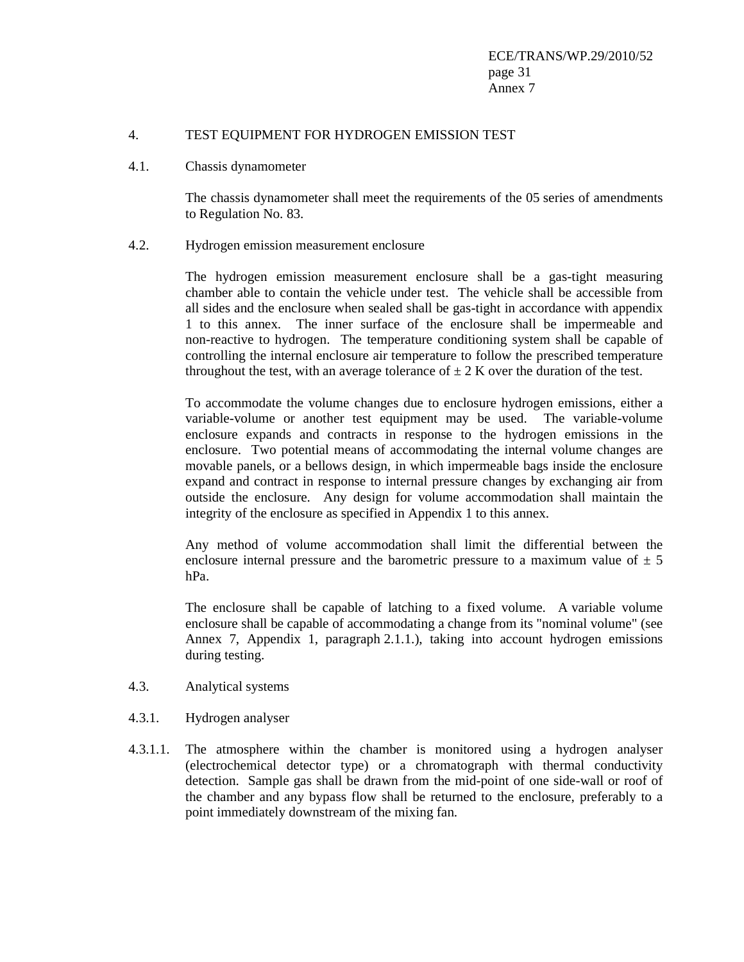#### 4. TEST EQUIPMENT FOR HYDROGEN EMISSION TEST

4.1. Chassis dynamometer

 The chassis dynamometer shall meet the requirements of the 05 series of amendments to Regulation No. 83.

#### 4.2. Hydrogen emission measurement enclosure

 The hydrogen emission measurement enclosure shall be a gas-tight measuring chamber able to contain the vehicle under test. The vehicle shall be accessible from all sides and the enclosure when sealed shall be gas-tight in accordance with appendix 1 to this annex. The inner surface of the enclosure shall be impermeable and non-reactive to hydrogen. The temperature conditioning system shall be capable of controlling the internal enclosure air temperature to follow the prescribed temperature throughout the test, with an average tolerance of  $\pm 2$  K over the duration of the test.

 To accommodate the volume changes due to enclosure hydrogen emissions, either a variable-volume or another test equipment may be used. The variable-volume enclosure expands and contracts in response to the hydrogen emissions in the enclosure. Two potential means of accommodating the internal volume changes are movable panels, or a bellows design, in which impermeable bags inside the enclosure expand and contract in response to internal pressure changes by exchanging air from outside the enclosure. Any design for volume accommodation shall maintain the integrity of the enclosure as specified in Appendix 1 to this annex.

 Any method of volume accommodation shall limit the differential between the enclosure internal pressure and the barometric pressure to a maximum value of  $\pm$  5 hPa.

 The enclosure shall be capable of latching to a fixed volume. A variable volume enclosure shall be capable of accommodating a change from its "nominal volume" (see Annex 7, Appendix 1, paragraph 2.1.1.), taking into account hydrogen emissions during testing.

- 4.3. Analytical systems
- 4.3.1. Hydrogen analyser
- 4.3.1.1. The atmosphere within the chamber is monitored using a hydrogen analyser (electrochemical detector type) or a chromatograph with thermal conductivity detection. Sample gas shall be drawn from the mid-point of one side-wall or roof of the chamber and any bypass flow shall be returned to the enclosure, preferably to a point immediately downstream of the mixing fan.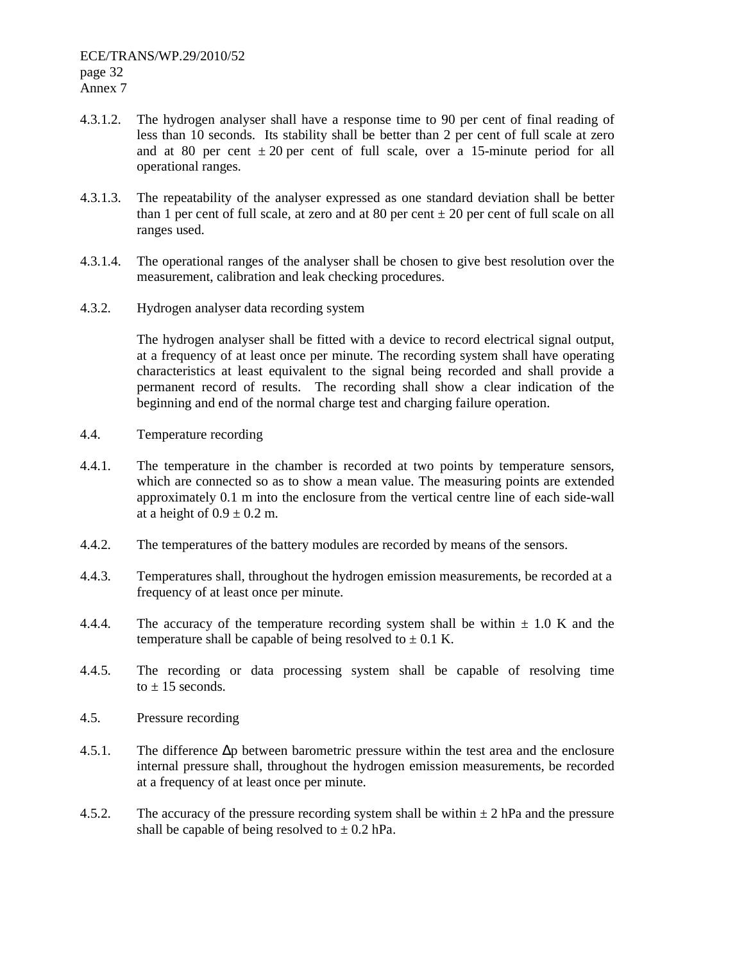- 4.3.1.2. The hydrogen analyser shall have a response time to 90 per cent of final reading of less than 10 seconds. Its stability shall be better than 2 per cent of full scale at zero and at 80 per cent  $\pm 20$  per cent of full scale, over a 15-minute period for all operational ranges.
- 4.3.1.3. The repeatability of the analyser expressed as one standard deviation shall be better than 1 per cent of full scale, at zero and at 80 per cent  $\pm$  20 per cent of full scale on all ranges used.
- 4.3.1.4. The operational ranges of the analyser shall be chosen to give best resolution over the measurement, calibration and leak checking procedures.
- 4.3.2. Hydrogen analyser data recording system

 The hydrogen analyser shall be fitted with a device to record electrical signal output, at a frequency of at least once per minute. The recording system shall have operating characteristics at least equivalent to the signal being recorded and shall provide a permanent record of results. The recording shall show a clear indication of the beginning and end of the normal charge test and charging failure operation.

- 4.4. Temperature recording
- 4.4.1. The temperature in the chamber is recorded at two points by temperature sensors, which are connected so as to show a mean value. The measuring points are extended approximately 0.1 m into the enclosure from the vertical centre line of each side-wall at a height of  $0.9 \pm 0.2$  m.
- 4.4.2. The temperatures of the battery modules are recorded by means of the sensors.
- 4.4.3. Temperatures shall, throughout the hydrogen emission measurements, be recorded at a frequency of at least once per minute.
- 4.4.4. The accuracy of the temperature recording system shall be within  $\pm$  1.0 K and the temperature shall be capable of being resolved to  $\pm$  0.1 K.
- 4.4.5. The recording or data processing system shall be capable of resolving time to  $\pm$  15 seconds.
- 4.5. Pressure recording
- 4.5.1. The difference ∆p between barometric pressure within the test area and the enclosure internal pressure shall, throughout the hydrogen emission measurements, be recorded at a frequency of at least once per minute.
- 4.5.2. The accuracy of the pressure recording system shall be within  $\pm 2$  hPa and the pressure shall be capable of being resolved to  $\pm$  0.2 hPa.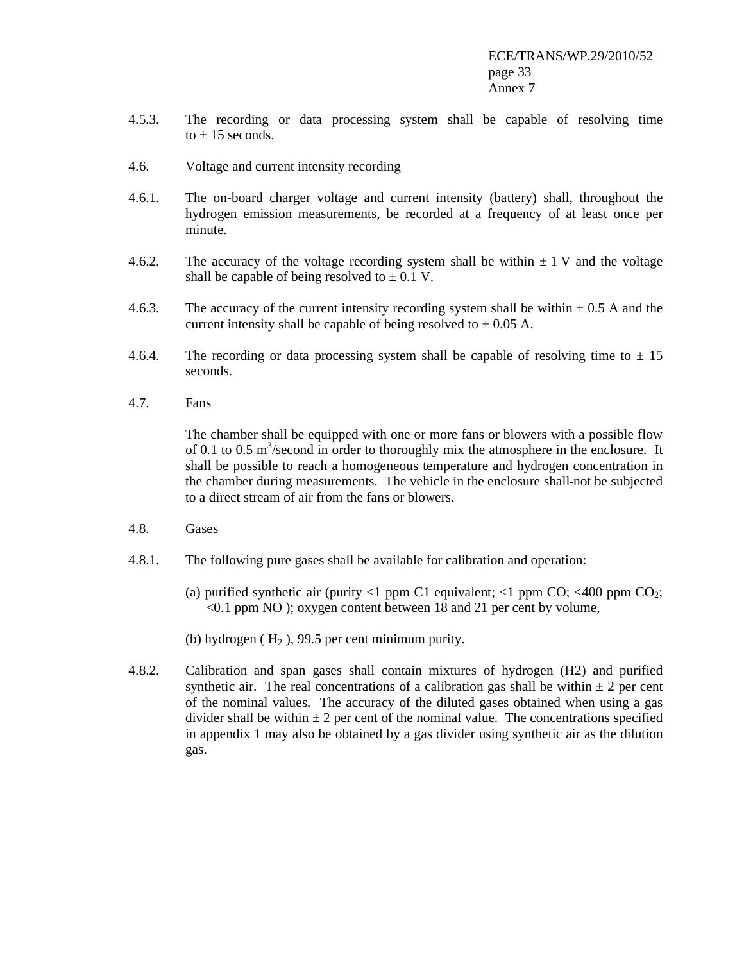- 4.5.3. The recording or data processing system shall be capable of resolving time to  $\pm$  15 seconds.
- 4.6. Voltage and current intensity recording
- 4.6.1. The on-board charger voltage and current intensity (battery) shall, throughout the hydrogen emission measurements, be recorded at a frequency of at least once per minute.
- 4.6.2. The accuracy of the voltage recording system shall be within  $\pm 1$  V and the voltage shall be capable of being resolved to  $\pm$  0.1 V.
- 4.6.3. The accuracy of the current intensity recording system shall be within  $\pm$  0.5 A and the current intensity shall be capable of being resolved to  $\pm$  0.05 A.
- 4.6.4. The recording or data processing system shall be capable of resolving time to  $\pm 15$ seconds.
- 4.7. Fans

 The chamber shall be equipped with one or more fans or blowers with a possible flow of 0.1 to 0.5  $\text{m}^3$ /second in order to thoroughly mix the atmosphere in the enclosure. It shall be possible to reach a homogeneous temperature and hydrogen concentration in the chamber during measurements. The vehicle in the enclosure shall not be subjected to a direct stream of air from the fans or blowers.

- 4.8. Gases
- 4.8.1. The following pure gases shall be available for calibration and operation:
	- (a) purified synthetic air (purity  $\langle 1 \rangle$  ppm C1 equivalent;  $\langle 1 \rangle$  ppm CO;  $\langle 400 \rangle$  ppm CO<sub>2</sub>; <0.1 ppm NO ); oxygen content between 18 and 21 per cent by volume,
	- (b) hydrogen  $(H_2)$ , 99.5 per cent minimum purity.
- 4.8.2. Calibration and span gases shall contain mixtures of hydrogen (H2) and purified synthetic air. The real concentrations of a calibration gas shall be within  $\pm 2$  per cent of the nominal values. The accuracy of the diluted gases obtained when using a gas divider shall be within  $\pm 2$  per cent of the nominal value. The concentrations specified in appendix 1 may also be obtained by a gas divider using synthetic air as the dilution gas.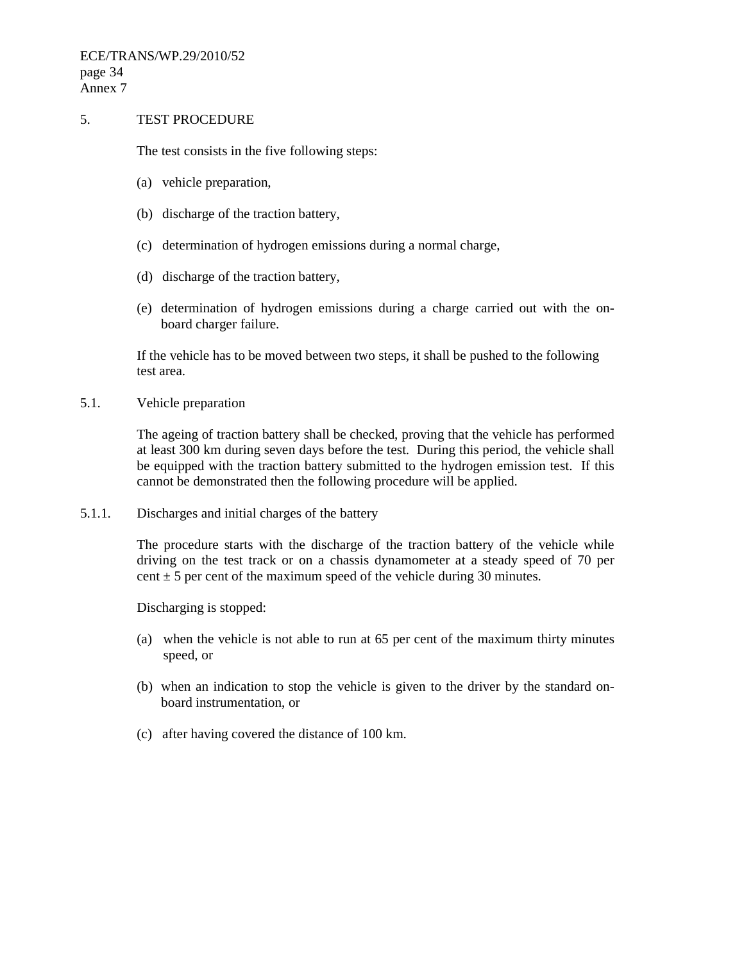ECE/TRANS/WP.29/2010/52 page 34 Annex 7

#### 5. TEST PROCEDURE

The test consists in the five following steps:

- (a) vehicle preparation,
- (b) discharge of the traction battery,
- (c) determination of hydrogen emissions during a normal charge,
- (d) discharge of the traction battery,
- (e) determination of hydrogen emissions during a charge carried out with the onboard charger failure.

 If the vehicle has to be moved between two steps, it shall be pushed to the following test area.

5.1. Vehicle preparation

 The ageing of traction battery shall be checked, proving that the vehicle has performed at least 300 km during seven days before the test. During this period, the vehicle shall be equipped with the traction battery submitted to the hydrogen emission test. If this cannot be demonstrated then the following procedure will be applied.

5.1.1. Discharges and initial charges of the battery

 The procedure starts with the discharge of the traction battery of the vehicle while driving on the test track or on a chassis dynamometer at a steady speed of 70 per cent  $\pm$  5 per cent of the maximum speed of the vehicle during 30 minutes.

Discharging is stopped:

- (a) when the vehicle is not able to run at 65 per cent of the maximum thirty minutes speed, or
- (b) when an indication to stop the vehicle is given to the driver by the standard onboard instrumentation, or
- (c) after having covered the distance of 100 km.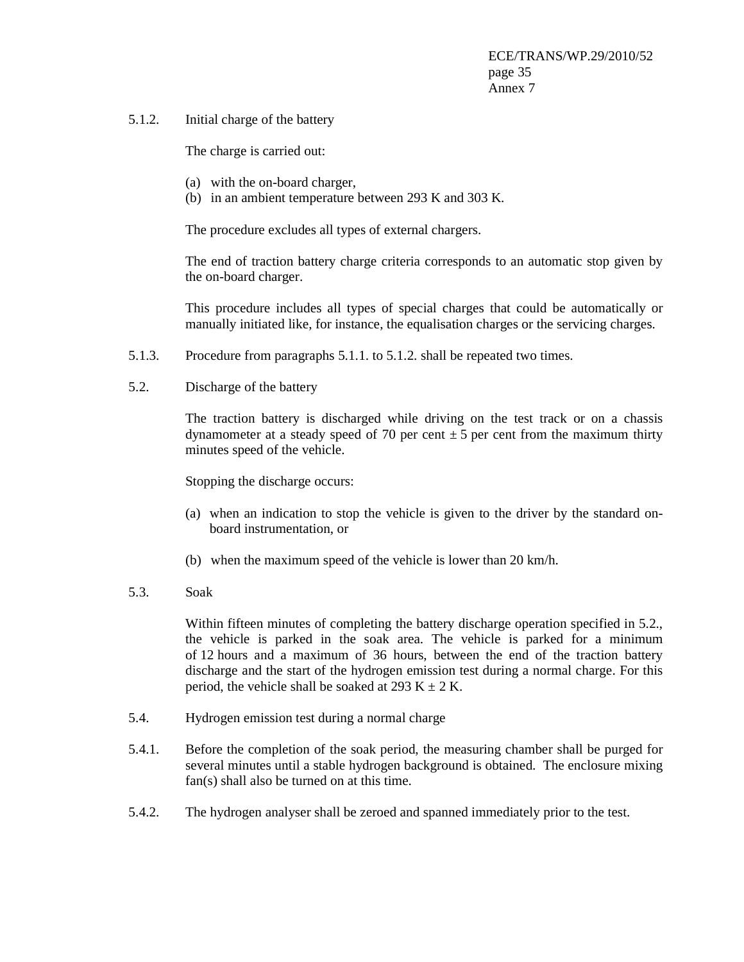5.1.2. Initial charge of the battery

The charge is carried out:

- (a) with the on-board charger,
- (b) in an ambient temperature between 293 K and 303 K.

The procedure excludes all types of external chargers.

The end of traction battery charge criteria corresponds to an automatic stop given by the on-board charger.

This procedure includes all types of special charges that could be automatically or manually initiated like, for instance, the equalisation charges or the servicing charges.

- 5.1.3. Procedure from paragraphs 5.1.1. to 5.1.2. shall be repeated two times.
- 5.2. Discharge of the battery

 The traction battery is discharged while driving on the test track or on a chassis dynamometer at a steady speed of 70 per cent  $\pm$  5 per cent from the maximum thirty minutes speed of the vehicle.

Stopping the discharge occurs:

- (a) when an indication to stop the vehicle is given to the driver by the standard onboard instrumentation, or
- (b) when the maximum speed of the vehicle is lower than 20 km/h.
- 5.3. Soak

Within fifteen minutes of completing the battery discharge operation specified in 5.2., the vehicle is parked in the soak area. The vehicle is parked for a minimum of 12 hours and a maximum of 36 hours, between the end of the traction battery discharge and the start of the hydrogen emission test during a normal charge. For this period, the vehicle shall be soaked at 293 K  $\pm$  2 K.

- 5.4. Hydrogen emission test during a normal charge
- 5.4.1. Before the completion of the soak period, the measuring chamber shall be purged for several minutes until a stable hydrogen background is obtained. The enclosure mixing fan(s) shall also be turned on at this time.
- 5.4.2. The hydrogen analyser shall be zeroed and spanned immediately prior to the test.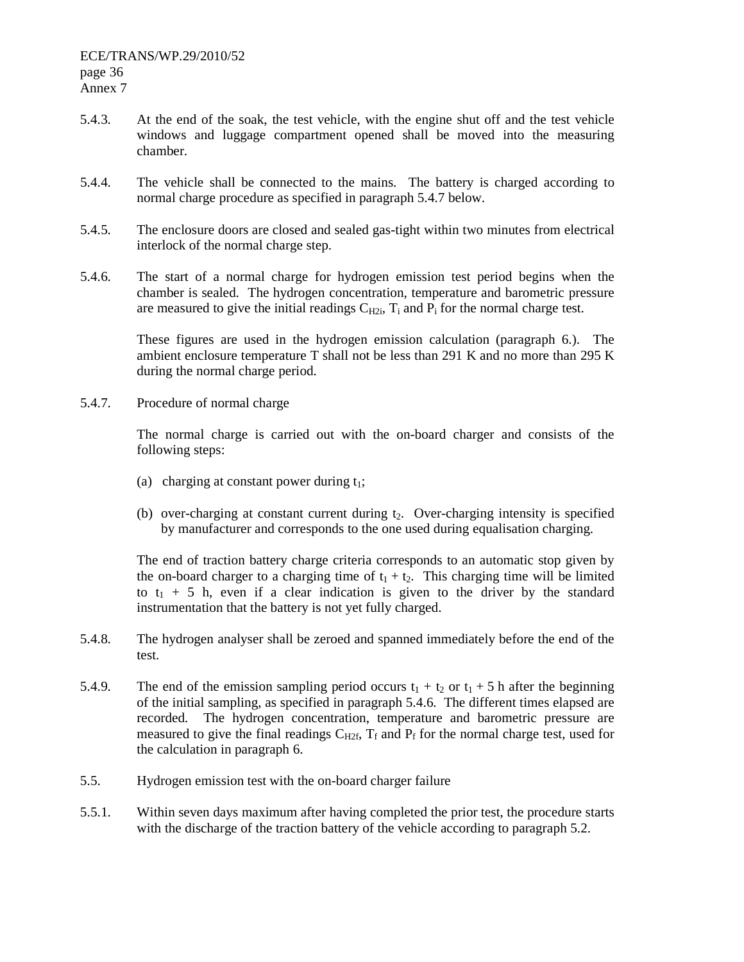- 5.4.3. At the end of the soak, the test vehicle, with the engine shut off and the test vehicle windows and luggage compartment opened shall be moved into the measuring chamber.
- 5.4.4. The vehicle shall be connected to the mains. The battery is charged according to normal charge procedure as specified in paragraph 5.4.7 below.
- 5.4.5. The enclosure doors are closed and sealed gas-tight within two minutes from electrical interlock of the normal charge step.
- 5.4.6. The start of a normal charge for hydrogen emission test period begins when the chamber is sealed. The hydrogen concentration, temperature and barometric pressure are measured to give the initial readings  $C_{H2i}$ ,  $T_i$  and  $P_i$  for the normal charge test.

 These figures are used in the hydrogen emission calculation (paragraph 6.). The ambient enclosure temperature T shall not be less than 291 K and no more than 295 K during the normal charge period.

5.4.7. Procedure of normal charge

 The normal charge is carried out with the on-board charger and consists of the following steps:

- (a) charging at constant power during  $t_1$ ;
- (b) over-charging at constant current during  $t<sub>2</sub>$ . Over-charging intensity is specified by manufacturer and corresponds to the one used during equalisation charging.

The end of traction battery charge criteria corresponds to an automatic stop given by the on-board charger to a charging time of  $t_1 + t_2$ . This charging time will be limited to  $t_1$  + 5 h, even if a clear indication is given to the driver by the standard instrumentation that the battery is not yet fully charged.

- 5.4.8. The hydrogen analyser shall be zeroed and spanned immediately before the end of the test.
- 5.4.9. The end of the emission sampling period occurs  $t_1 + t_2$  or  $t_1 + 5$  h after the beginning of the initial sampling, as specified in paragraph 5.4.6. The different times elapsed are recorded. The hydrogen concentration, temperature and barometric pressure are measured to give the final readings  $C_{H2f}$ ,  $T_f$  and  $P_f$  for the normal charge test, used for the calculation in paragraph 6.
- 5.5. Hydrogen emission test with the on-board charger failure
- 5.5.1. Within seven days maximum after having completed the prior test, the procedure starts with the discharge of the traction battery of the vehicle according to paragraph 5.2.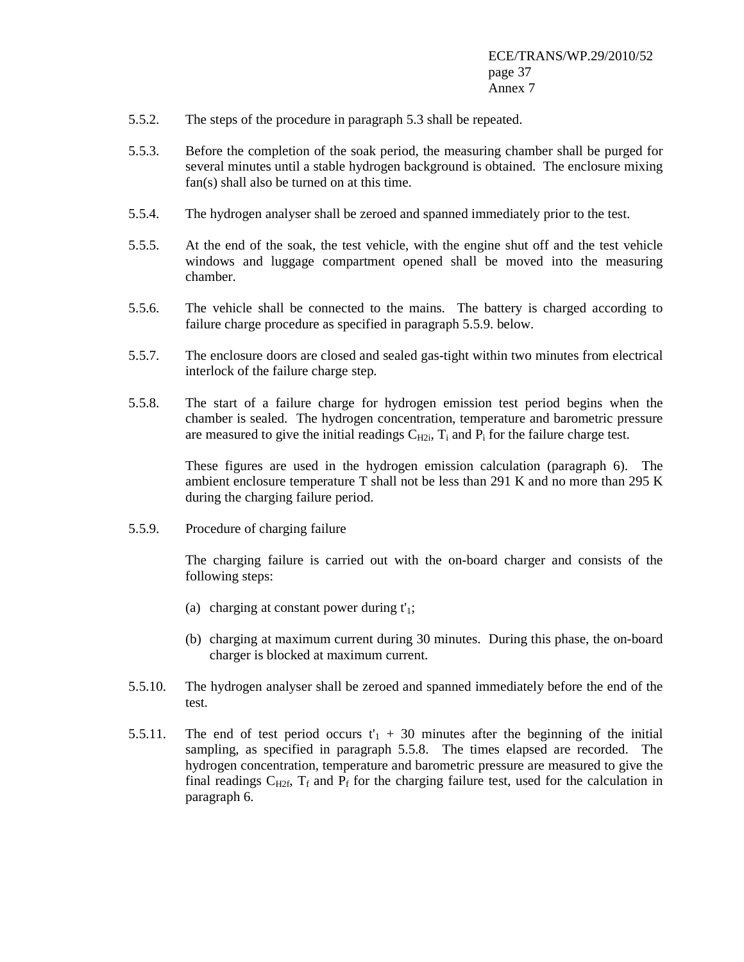- 5.5.2. The steps of the procedure in paragraph 5.3 shall be repeated.
- 5.5.3. Before the completion of the soak period, the measuring chamber shall be purged for several minutes until a stable hydrogen background is obtained. The enclosure mixing fan(s) shall also be turned on at this time.
- 5.5.4. The hydrogen analyser shall be zeroed and spanned immediately prior to the test.
- 5.5.5. At the end of the soak, the test vehicle, with the engine shut off and the test vehicle windows and luggage compartment opened shall be moved into the measuring chamber.
- 5.5.6. The vehicle shall be connected to the mains. The battery is charged according to failure charge procedure as specified in paragraph 5.5.9. below.
- 5.5.7. The enclosure doors are closed and sealed gas-tight within two minutes from electrical interlock of the failure charge step.
- 5.5.8. The start of a failure charge for hydrogen emission test period begins when the chamber is sealed. The hydrogen concentration, temperature and barometric pressure are measured to give the initial readings  $C_{H2i}$ ,  $T_i$  and  $P_i$  for the failure charge test.

 These figures are used in the hydrogen emission calculation (paragraph 6). The ambient enclosure temperature T shall not be less than 291 K and no more than 295 K during the charging failure period.

5.5.9. Procedure of charging failure

 The charging failure is carried out with the on-board charger and consists of the following steps:

- (a) charging at constant power during  $t'_{1}$ ;
- (b) charging at maximum current during 30 minutes. During this phase, the on-board charger is blocked at maximum current.
- 5.5.10. The hydrogen analyser shall be zeroed and spanned immediately before the end of the test.
- 5.5.11. The end of test period occurs  $t'_{1}$  + 30 minutes after the beginning of the initial sampling, as specified in paragraph 5.5.8. The times elapsed are recorded. The hydrogen concentration, temperature and barometric pressure are measured to give the final readings  $C_{H2f}$ ,  $T_f$  and  $P_f$  for the charging failure test, used for the calculation in paragraph 6.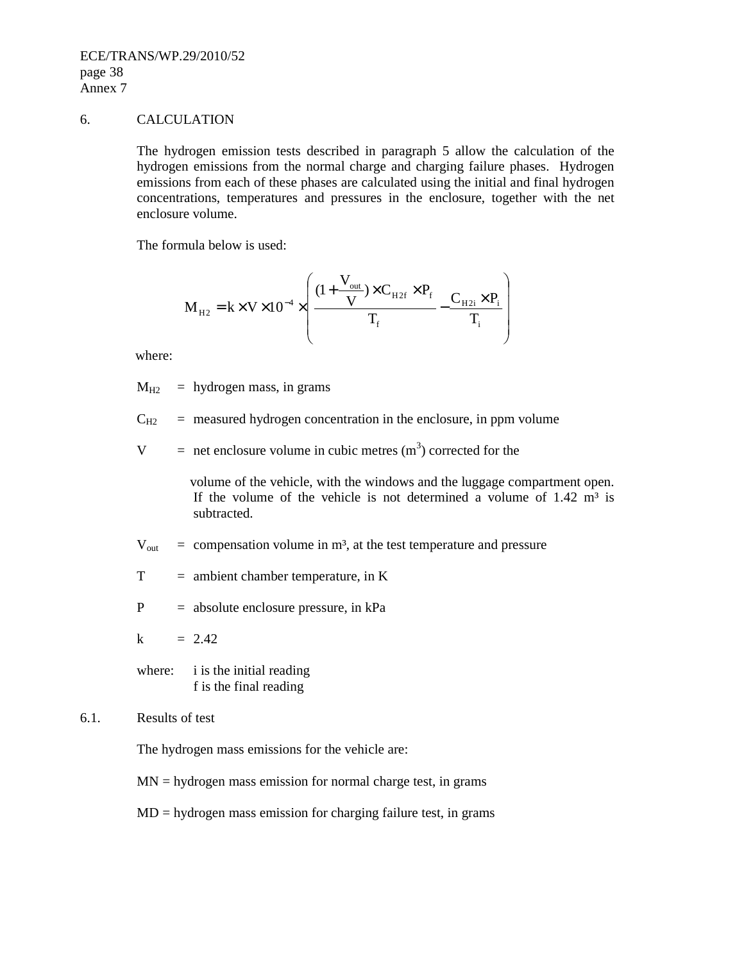ECE/TRANS/WP.29/2010/52 page 38 Annex 7

#### 6. CALCULATION

 The hydrogen emission tests described in paragraph 5 allow the calculation of the hydrogen emissions from the normal charge and charging failure phases. Hydrogen emissions from each of these phases are calculated using the initial and final hydrogen concentrations, temperatures and pressures in the enclosure, together with the net enclosure volume.

The formula below is used:

$$
M_{_{H2}} = k \times V \times 10^{-4} \times \left(\frac{(1 + \frac{V_{_{out}}}{V}) \times C_{_{H2f}} \times P_{f}}{T_{f}} - \frac{C_{_{H2i}} \times P_{i}}{T_{i}}\right)
$$

where:

 $M_{H2}$  = hydrogen mass, in grams

 $C_{H2}$  = measured hydrogen concentration in the enclosure, in ppm volume

 $V =$  net enclosure volume in cubic metres  $(m<sup>3</sup>)$  corrected for the

 volume of the vehicle, with the windows and the luggage compartment open. If the volume of the vehicle is not determined a volume of  $1.42 \text{ m}^3$  is subtracted.

 $V_{\text{out}}$  = compensation volume in m<sup>3</sup>, at the test temperature and pressure

- $T =$  ambient chamber temperature, in K
- P = absolute enclosure pressure, in kPa

 $k = 2.42$ 

where: i is the initial reading f is the final reading

#### 6.1. Results of test

The hydrogen mass emissions for the vehicle are:

 $MN = hydrogen$  mass emission for normal charge test, in grams

 $MD = hydrogen$  mass emission for charging failure test, in grams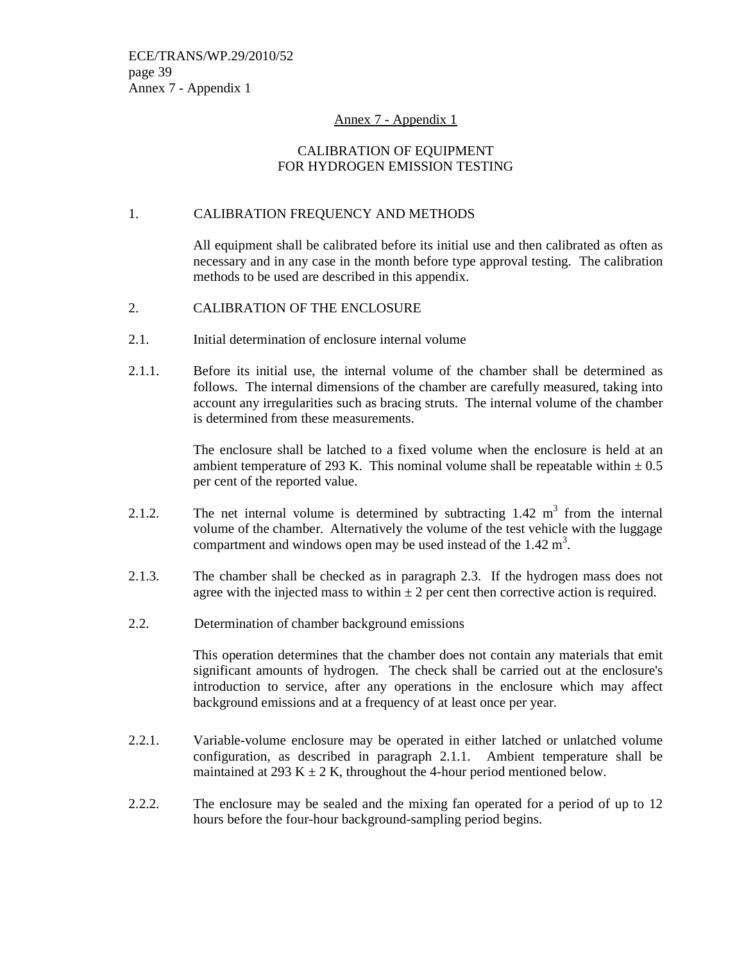#### Annex 7 - Appendix 1

# CALIBRATION OF EQUIPMENT FOR HYDROGEN EMISSION TESTING

## 1. CALIBRATION FREQUENCY AND METHODS

All equipment shall be calibrated before its initial use and then calibrated as often as necessary and in any case in the month before type approval testing. The calibration methods to be used are described in this appendix.

- 2. CALIBRATION OF THE ENCLOSURE
- 2.1. Initial determination of enclosure internal volume
- 2.1.1. Before its initial use, the internal volume of the chamber shall be determined as follows. The internal dimensions of the chamber are carefully measured, taking into account any irregularities such as bracing struts. The internal volume of the chamber is determined from these measurements.

The enclosure shall be latched to a fixed volume when the enclosure is held at an ambient temperature of 293 K. This nominal volume shall be repeatable within  $\pm 0.5$ per cent of the reported value.

- 2.1.2. The net internal volume is determined by subtracting  $1.42 \text{ m}^3$  from the internal volume of the chamber. Alternatively the volume of the test vehicle with the luggage compartment and windows open may be used instead of the  $1.42 \text{ m}^3$ .
- 2.1.3. The chamber shall be checked as in paragraph 2.3. If the hydrogen mass does not agree with the injected mass to within  $\pm 2$  per cent then corrective action is required.
- 2.2. Determination of chamber background emissions

This operation determines that the chamber does not contain any materials that emit significant amounts of hydrogen. The check shall be carried out at the enclosure's introduction to service, after any operations in the enclosure which may affect background emissions and at a frequency of at least once per year.

- 2.2.1. Variable-volume enclosure may be operated in either latched or unlatched volume configuration, as described in paragraph 2.1.1. Ambient temperature shall be maintained at 293 K  $\pm$  2 K, throughout the 4-hour period mentioned below.
- 2.2.2. The enclosure may be sealed and the mixing fan operated for a period of up to 12 hours before the four-hour background-sampling period begins.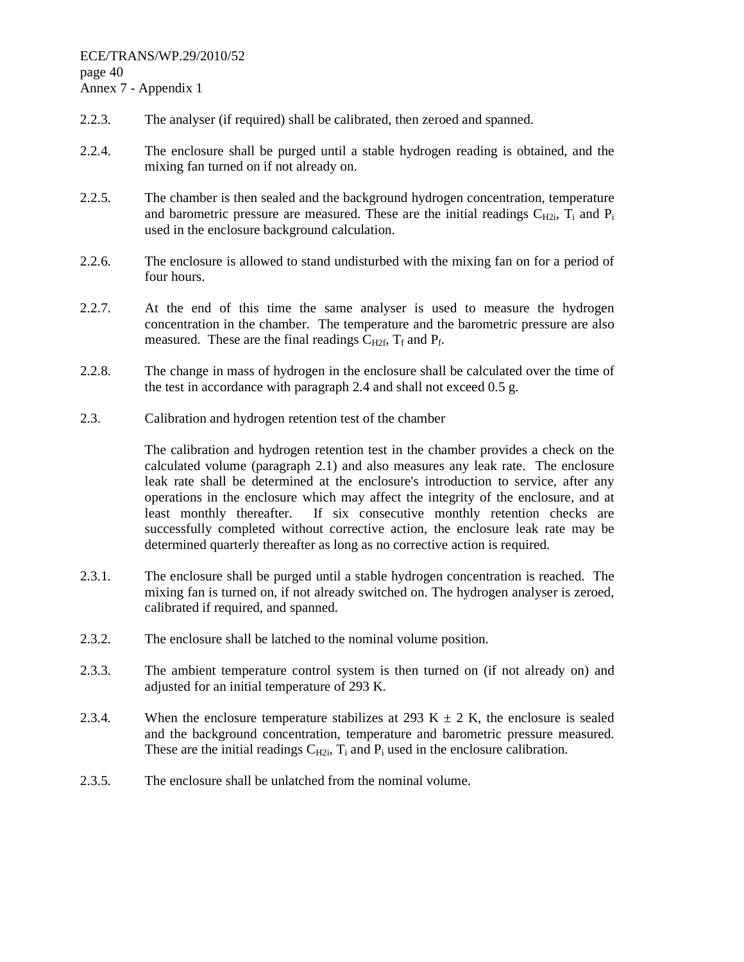- 2.2.3. The analyser (if required) shall be calibrated, then zeroed and spanned.
- 2.2.4. The enclosure shall be purged until a stable hydrogen reading is obtained, and the mixing fan turned on if not already on.
- 2.2.5. The chamber is then sealed and the background hydrogen concentration, temperature and barometric pressure are measured. These are the initial readings  $C_{H2i}$ ,  $T_i$  and  $P_i$ used in the enclosure background calculation.
- 2.2.6. The enclosure is allowed to stand undisturbed with the mixing fan on for a period of four hours.
- 2.2.7. At the end of this time the same analyser is used to measure the hydrogen concentration in the chamber. The temperature and the barometric pressure are also measured. These are the final readings  $C_{H2f}$ ,  $T_f$  and  $P_f$ .
- 2.2.8. The change in mass of hydrogen in the enclosure shall be calculated over the time of the test in accordance with paragraph 2.4 and shall not exceed 0.5 g.
- 2.3. Calibration and hydrogen retention test of the chamber

The calibration and hydrogen retention test in the chamber provides a check on the calculated volume (paragraph 2.1) and also measures any leak rate. The enclosure leak rate shall be determined at the enclosure's introduction to service, after any operations in the enclosure which may affect the integrity of the enclosure, and at least monthly thereafter. If six consecutive monthly retention checks are successfully completed without corrective action, the enclosure leak rate may be determined quarterly thereafter as long as no corrective action is required.

- 2.3.1. The enclosure shall be purged until a stable hydrogen concentration is reached. The mixing fan is turned on, if not already switched on. The hydrogen analyser is zeroed, calibrated if required, and spanned.
- 2.3.2. The enclosure shall be latched to the nominal volume position.
- 2.3.3. The ambient temperature control system is then turned on (if not already on) and adjusted for an initial temperature of 293 K.
- 2.3.4. When the enclosure temperature stabilizes at 293 K  $\pm$  2 K, the enclosure is sealed and the background concentration, temperature and barometric pressure measured. These are the initial readings  $C_{H2i}$ ,  $T_i$  and  $P_i$  used in the enclosure calibration.
- 2.3.5. The enclosure shall be unlatched from the nominal volume.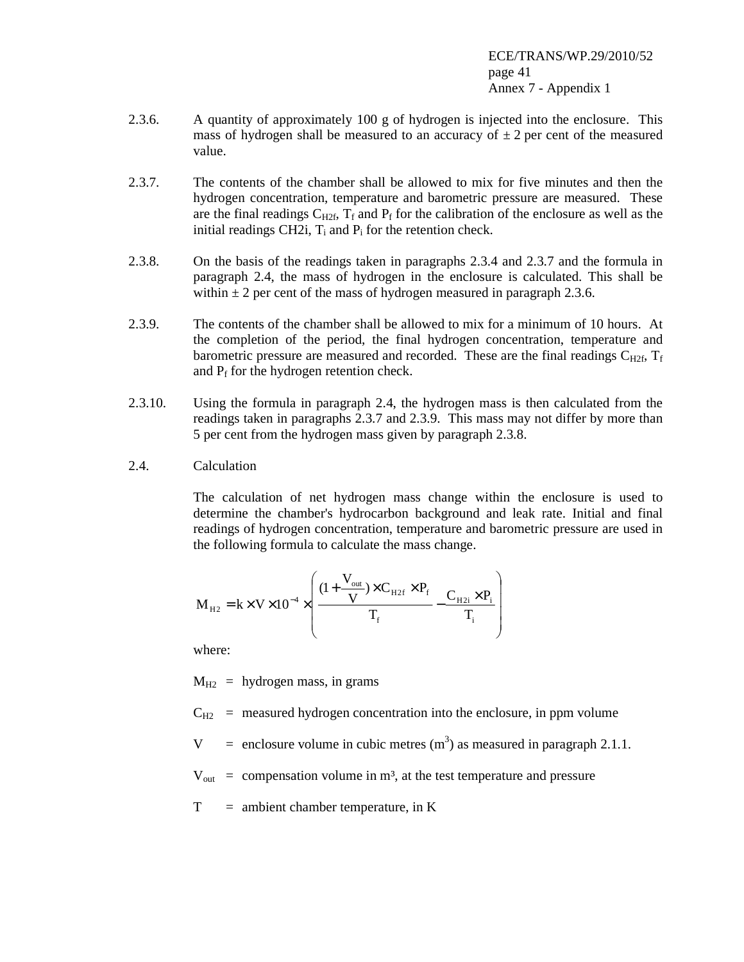- 2.3.6. A quantity of approximately 100 g of hydrogen is injected into the enclosure. This mass of hydrogen shall be measured to an accuracy of  $\pm 2$  per cent of the measured value.
- 2.3.7. The contents of the chamber shall be allowed to mix for five minutes and then the hydrogen concentration, temperature and barometric pressure are measured. These are the final readings  $C_{H2f}$ ,  $T_f$  and  $P_f$  for the calibration of the enclosure as well as the initial readings CH2i,  $T_i$  and  $P_i$  for the retention check.
- 2.3.8. On the basis of the readings taken in paragraphs 2.3.4 and 2.3.7 and the formula in paragraph 2.4, the mass of hydrogen in the enclosure is calculated. This shall be within  $\pm 2$  per cent of the mass of hydrogen measured in paragraph 2.3.6.
- 2.3.9. The contents of the chamber shall be allowed to mix for a minimum of 10 hours. At the completion of the period, the final hydrogen concentration, temperature and barometric pressure are measured and recorded. These are the final readings  $C_{H2f}$ ,  $T_f$ and  $P_f$  for the hydrogen retention check.
- 2.3.10. Using the formula in paragraph 2.4, the hydrogen mass is then calculated from the readings taken in paragraphs 2.3.7 and 2.3.9. This mass may not differ by more than 5 per cent from the hydrogen mass given by paragraph 2.3.8.
- 2.4. Calculation

The calculation of net hydrogen mass change within the enclosure is used to determine the chamber's hydrocarbon background and leak rate. Initial and final readings of hydrogen concentration, temperature and barometric pressure are used in the following formula to calculate the mass change.

$$
M_{_{H2}} = k \times V \times 10^{-4} \times \left(\frac{(1 + \frac{V_{_{out}}}{V}) \times C_{_{H2f}} \times P_{_{f}}}{T_{_{f}}} - \frac{C_{_{H2i}} \times P_{_{i}}}{T_{_{i}}}\right)
$$

where:

 $M_{H2}$  = hydrogen mass, in grams

 $C_{H2}$  = measured hydrogen concentration into the enclosure, in ppm volume

 $V =$  enclosure volume in cubic metres (m<sup>3</sup>) as measured in paragraph 2.1.1.

 $V_{\text{out}}$  = compensation volume in m<sup>3</sup>, at the test temperature and pressure

 $T =$  ambient chamber temperature, in K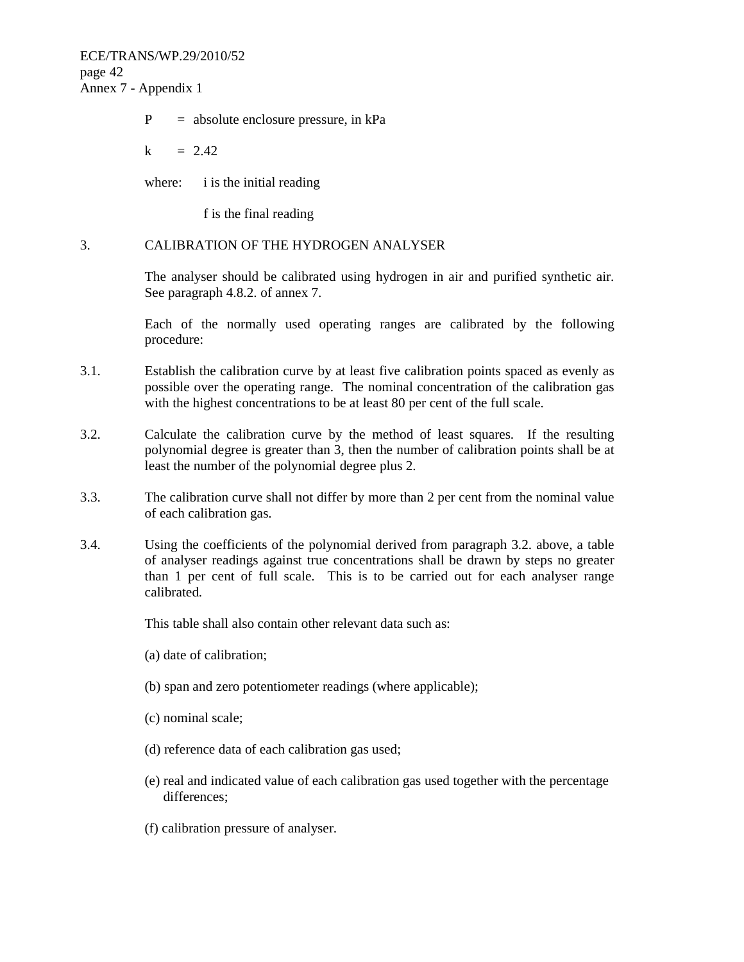ECE/TRANS/WP.29/2010/52 page 42 Annex 7 - Appendix 1

 $P =$  absolute enclosure pressure, in kPa

 $k = 2.42$ 

where: i is the initial reading

f is the final reading

#### 3. CALIBRATION OF THE HYDROGEN ANALYSER

The analyser should be calibrated using hydrogen in air and purified synthetic air. See paragraph 4.8.2. of annex 7.

Each of the normally used operating ranges are calibrated by the following procedure:

- 3.1. Establish the calibration curve by at least five calibration points spaced as evenly as possible over the operating range. The nominal concentration of the calibration gas with the highest concentrations to be at least 80 per cent of the full scale.
- 3.2. Calculate the calibration curve by the method of least squares. If the resulting polynomial degree is greater than 3, then the number of calibration points shall be at least the number of the polynomial degree plus 2.
- 3.3. The calibration curve shall not differ by more than 2 per cent from the nominal value of each calibration gas.
- 3.4. Using the coefficients of the polynomial derived from paragraph 3.2. above, a table of analyser readings against true concentrations shall be drawn by steps no greater than 1 per cent of full scale. This is to be carried out for each analyser range calibrated.

This table shall also contain other relevant data such as:

- (a) date of calibration;
- (b) span and zero potentiometer readings (where applicable);
- (c) nominal scale;
- (d) reference data of each calibration gas used;
- (e) real and indicated value of each calibration gas used together with the percentage differences;
- (f) calibration pressure of analyser.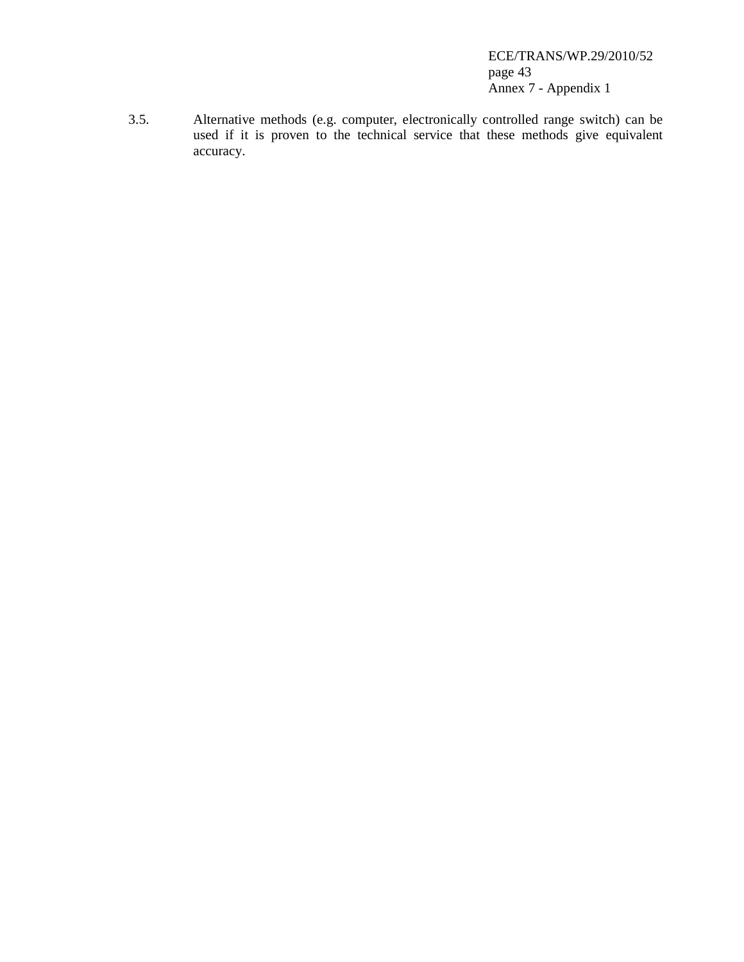ECE/TRANS/WP.29/2010/52 page 43 Annex 7 - Appendix 1

3.5. Alternative methods (e.g. computer, electronically controlled range switch) can be used if it is proven to the technical service that these methods give equivalent accuracy.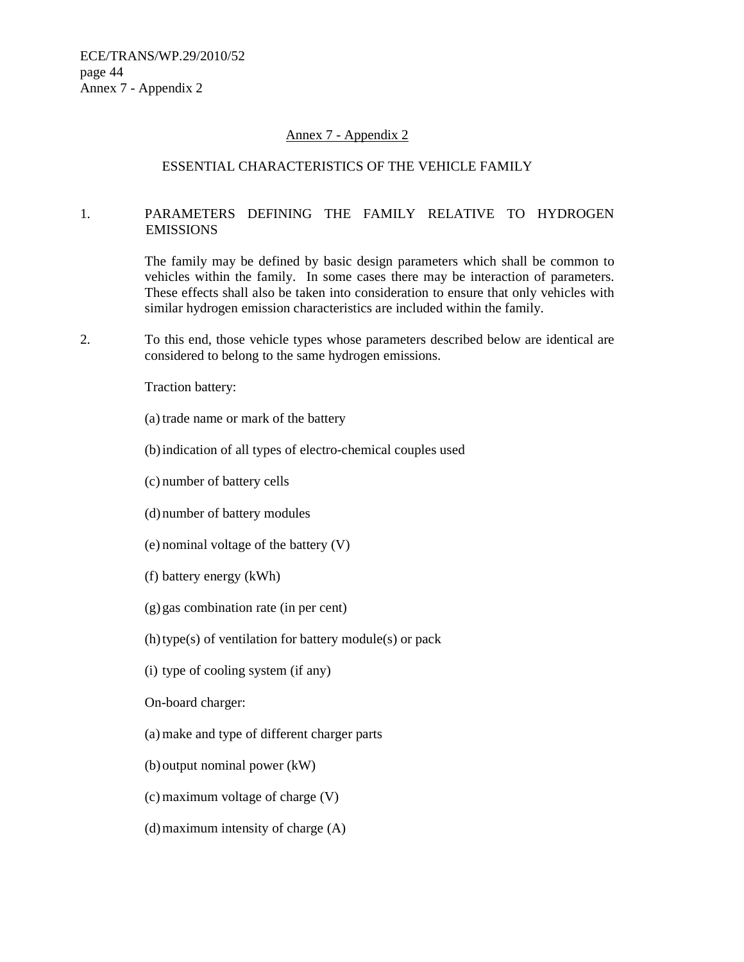#### Annex 7 - Appendix 2

#### ESSENTIAL CHARACTERISTICS OF THE VEHICLE FAMILY

#### 1. PARAMETERS DEFINING THE FAMILY RELATIVE TO HYDROGEN EMISSIONS

The family may be defined by basic design parameters which shall be common to vehicles within the family. In some cases there may be interaction of parameters. These effects shall also be taken into consideration to ensure that only vehicles with similar hydrogen emission characteristics are included within the family.

2. To this end, those vehicle types whose parameters described below are identical are considered to belong to the same hydrogen emissions.

Traction battery:

- (a) trade name or mark of the battery
- (b) indication of all types of electro-chemical couples used
- (c) number of battery cells
- (d) number of battery modules
- (e) nominal voltage of the battery (V)
- (f) battery energy (kWh)
- (g) gas combination rate (in per cent)
- (h) type(s) of ventilation for battery module(s) or pack
- (i) type of cooling system (if any)

On-board charger:

- (a) make and type of different charger parts
- (b) output nominal power (kW)
- (c) maximum voltage of charge (V)
- (d) maximum intensity of charge (A)